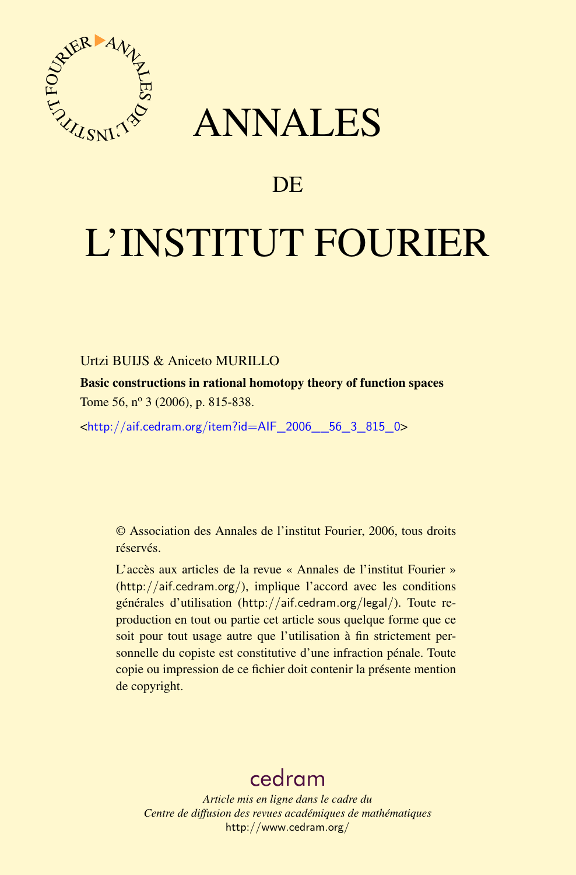

## ANNALES

### **DE**

# L'INSTITUT FOURIER

#### Urtzi BUIJS & Aniceto MURILLO

Basic constructions in rational homotopy theory of function spaces Tome 56,  $n^{\circ}$  3 (2006), p. 815-838.

<[http://aif.cedram.org/item?id=AIF\\_2006\\_\\_56\\_3\\_815\\_0](http://aif.cedram.org/item?id=AIF_2006__56_3_815_0)>

© Association des Annales de l'institut Fourier, 2006, tous droits réservés.

L'accès aux articles de la revue « Annales de l'institut Fourier » (<http://aif.cedram.org/>), implique l'accord avec les conditions générales d'utilisation (<http://aif.cedram.org/legal/>). Toute reproduction en tout ou partie cet article sous quelque forme que ce soit pour tout usage autre que l'utilisation à fin strictement personnelle du copiste est constitutive d'une infraction pénale. Toute copie ou impression de ce fichier doit contenir la présente mention de copyright.

## [cedram](http://www.cedram.org/)

*Article mis en ligne dans le cadre du Centre de diffusion des revues académiques de mathématiques* <http://www.cedram.org/>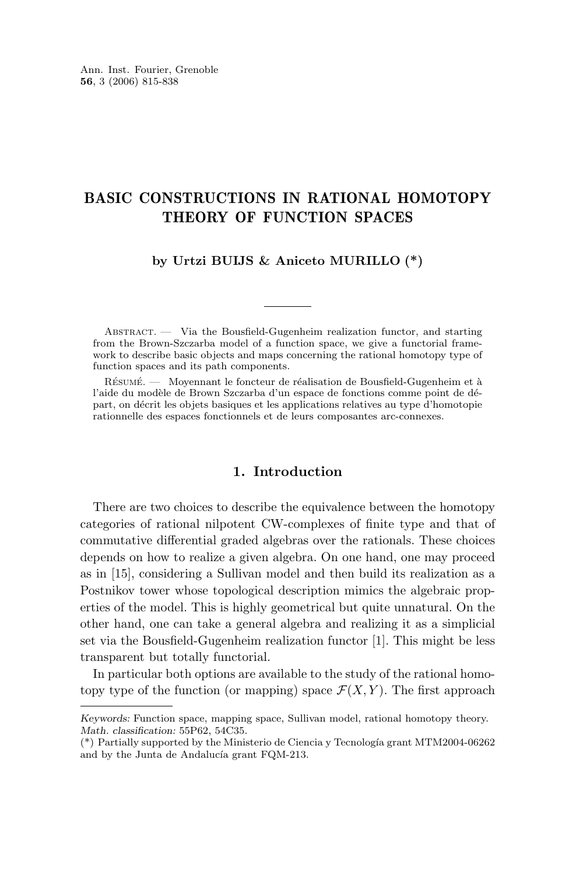#### BASIC CONSTRUCTIONS IN RATIONAL HOMOTOPY THEORY OF FUNCTION SPACES

#### **by Urtzi BUIJS & Aniceto MURILLO (\*)**

ABSTRACT. — Via the Bousfield-Gugenheim realization functor, and starting from the Brown-Szczarba model of a function space, we give a functorial framework to describe basic objects and maps concerning the rational homotopy type of function spaces and its path components.

Résumé. — Moyennant le foncteur de réalisation de Bousfield-Gugenheim et à l'aide du modèle de Brown Szczarba d'un espace de fonctions comme point de départ, on décrit les objets basiques et les applications relatives au type d'homotopie rationnelle des espaces fonctionnels et de leurs composantes arc-connexes.

#### **1. Introduction**

There are two choices to describe the equivalence between the homotopy categories of rational nilpotent CW-complexes of finite type and that of commutative differential graded algebras over the rationals. These choices depends on how to realize a given algebra. On one hand, one may proceed as in [\[15\]](#page-24-0), considering a Sullivan model and then build its realization as a Postnikov tower whose topological description mimics the algebraic properties of the model. This is highly geometrical but quite unnatural. On the other hand, one can take a general algebra and realizing it as a simplicial set via the Bousfield-Gugenheim realization functor [\[1\]](#page-23-0). This might be less transparent but totally functorial.

In particular both options are available to the study of the rational homotopy type of the function (or mapping) space  $\mathcal{F}(X, Y)$ . The first approach

*Keywords:* Function space, mapping space, Sullivan model, rational homotopy theory. *Math. classification:* 55P62, 54C35.

<sup>(\*)</sup> Partially supported by the Ministerio de Ciencia y Tecnología grant MTM2004-06262 and by the Junta de Andalucía grant FQM-213.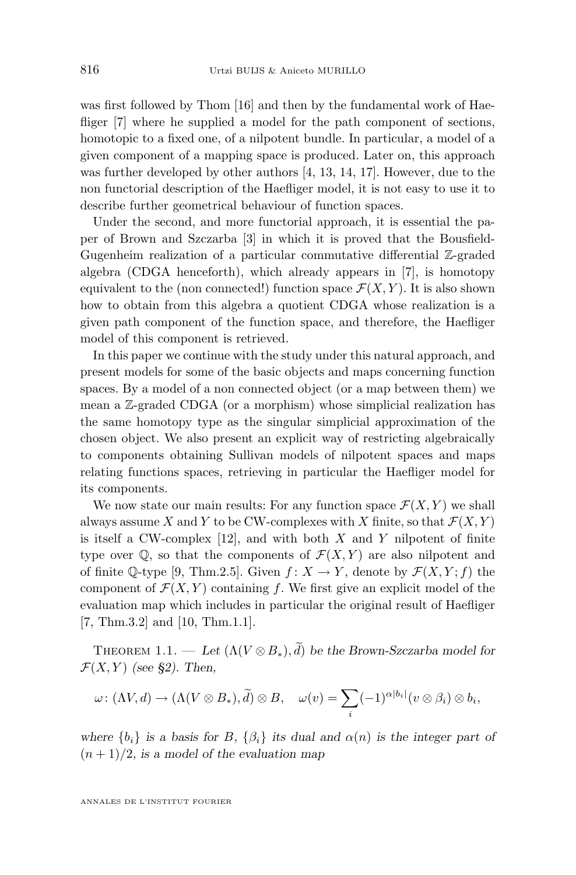<span id="page-2-0"></span>was first followed by Thom [\[16\]](#page-24-0) and then by the fundamental work of Hae-fliger [\[7\]](#page-23-0) where he supplied a model for the path component of sections, homotopic to a fixed one, of a nilpotent bundle. In particular, a model of a given component of a mapping space is produced. Later on, this approach was further developed by other authors [\[4,](#page-23-0) [13,](#page-24-0) [14,](#page-24-0) [17\]](#page-24-0). However, due to the non functorial description of the Haefliger model, it is not easy to use it to describe further geometrical behaviour of function spaces.

Under the second, and more functorial approach, it is essential the paper of Brown and Szczarba [\[3\]](#page-23-0) in which it is proved that the Bousfield-Gugenheim realization of a particular commutative differential Z-graded algebra (CDGA henceforth), which already appears in [\[7\]](#page-23-0), is homotopy equivalent to the (non connected!) function space  $\mathcal{F}(X, Y)$ . It is also shown how to obtain from this algebra a quotient CDGA whose realization is a given path component of the function space, and therefore, the Haefliger model of this component is retrieved.

In this paper we continue with the study under this natural approach, and present models for some of the basic objects and maps concerning function spaces. By a model of a non connected object (or a map between them) we mean a Z-graded CDGA (or a morphism) whose simplicial realization has the same homotopy type as the singular simplicial approximation of the chosen object. We also present an explicit way of restricting algebraically to components obtaining Sullivan models of nilpotent spaces and maps relating functions spaces, retrieving in particular the Haefliger model for its components.

We now state our main results: For any function space  $\mathcal{F}(X, Y)$  we shall always assume X and Y to be CW-complexes with X finite, so that  $\mathcal{F}(X, Y)$ is itself a CW-complex  $[12]$ , and with both X and Y nilpotent of finite type over  $\mathbb{Q}$ , so that the components of  $\mathcal{F}(X, Y)$  are also nilpotent and of finite Q-type [\[9,](#page-23-0) Thm.2.5]. Given  $f: X \to Y$ , denote by  $\mathcal{F}(X, Y; f)$  the component of  $\mathcal{F}(X, Y)$  containing f. We first give an explicit model of the evaluation map which includes in particular the original result of Haefliger [\[7,](#page-23-0) Thm.3.2] and [\[10,](#page-23-0) Thm.1.1].

THEOREM 1.1. — Let  $(\Lambda (V \otimes B_*)$ ,  $\tilde{d})$  be the Brown-Szczarba model for  $\mathcal{F}(X, Y)$  *(see §2). Then,* 

$$
\omega\colon (\Lambda V, d)\to (\Lambda (V\otimes B_*), \widetilde{d})\otimes B, \quad \omega(v)=\sum_i (-1)^{\alpha|b_i|}(v\otimes \beta_i)\otimes b_i,
$$

*where*  ${b_i}$  *is a basis for* B,  ${\beta_i}$  *its dual and*  $\alpha(n)$  *is the integer part of*  $(n+1)/2$ , is a model of the evaluation map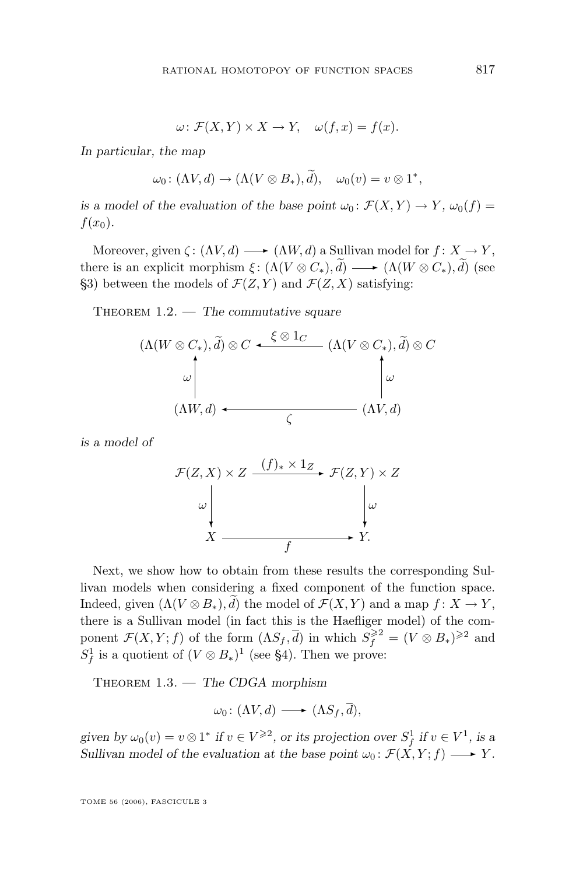$$
\omega \colon \mathcal{F}(X, Y) \times X \to Y, \quad \omega(f, x) = f(x).
$$

<span id="page-3-0"></span>*In particular, the map*

$$
\omega_0
$$
:  $(\Lambda V, d) \to (\Lambda (V \otimes B_*), d), \quad \omega_0(v) = v \otimes 1^*,$ 

*is a model of the evaluation of the base point*  $\omega_0$ :  $\mathcal{F}(X, Y) \to Y$ ,  $\omega_0(f) =$  $f(x_0)$ .

Moreover, given  $\zeta: (\Lambda V, d) \longrightarrow (\Lambda W, d)$  a Sullivan model for  $f: X \to Y$ , there is an explicit morphism  $\xi: (\Lambda(V \otimes C_*), \widetilde{d}) \longrightarrow (\Lambda(W \otimes C_*), \widetilde{d})$  (see §3) between the models of  $\mathcal{F}(Z, Y)$  and  $\mathcal{F}(Z, X)$  satisfying:

Theorem 1.2. — *The commutative square*

$$
(\Lambda(W \otimes C_*), \widetilde{d}) \otimes C \xrightarrow{\xi \otimes 1_C} (\Lambda(V \otimes C_*), \widetilde{d}) \otimes C
$$
  

$$
\omega \downarrow \omega
$$
  

$$
(\Lambda W, d) \xleftarrow{\zeta} (\Lambda V, d)
$$

*is a model of*

$$
\mathcal{F}(Z, X) \times Z \xrightarrow{(f)_* \times 1_Z} \mathcal{F}(Z, Y) \times Z
$$
  

$$
\omega \downarrow \omega
$$
  

$$
X \xrightarrow{f} Y.
$$

Next, we show how to obtain from these results the corresponding Sullivan models when considering a fixed component of the function space. Indeed, given  $(\Lambda (V \otimes B_*)$ , d) the model of  $\mathcal{F}(X, Y)$  and a map  $f: X \to Y$ , there is a Sullivan model (in fact this is the Haefliger model) of the component  $\mathcal{F}(X, Y; f)$  of the form  $(\Lambda S_f, \overline{d})$  in which  $\overline{S_f}^{\geq 2} = (V \otimes B_*)^{\geq 2}$  and  $S_f^1$  is a quotient of  $(V \otimes B_*)^1$  (see §4). Then we prove:

Theorem 1.3. — *The CDGA morphism*

$$
\omega_0\colon (\Lambda V, d) \longrightarrow (\Lambda S_f, \overline{d}),
$$

given by  $\omega_0(v) = v \otimes 1^*$  if  $v \in V^{\geq 2}$ , or its projection over  $S_f^1$  if  $v \in V^1$ , is a *Sullivan model of the evaluation at the base point*  $\omega_0$ :  $\mathcal{F}(X, Y; f) \longrightarrow Y$ *.*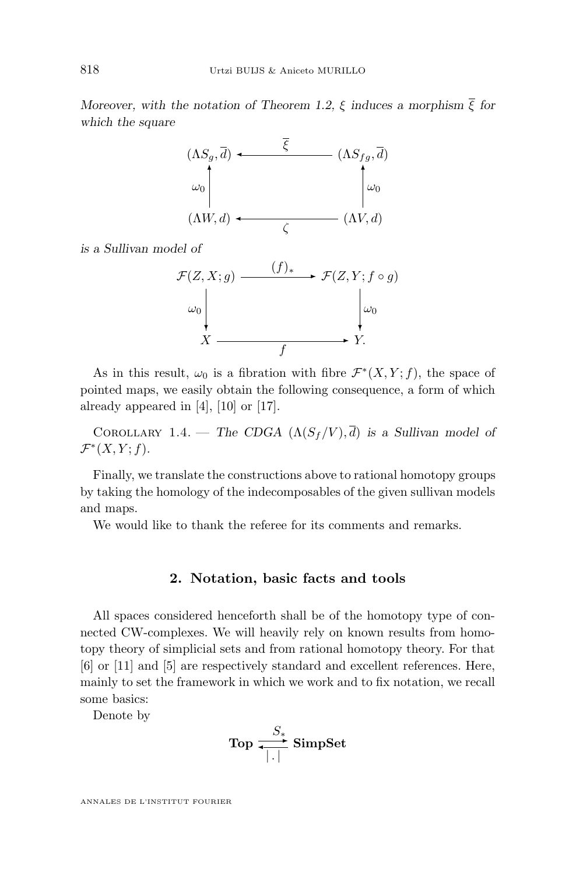<span id="page-4-0"></span>*Moreover, with the notation of Theorem [1.2,](#page-3-0)*  $\xi$  *induces a morphism*  $\overline{\xi}$  *for which the square*



*is a Sullivan model of*

$$
\mathcal{F}(Z, X; g) \xrightarrow{\qquad (f)_{*}} \mathcal{F}(Z, Y; f \circ g)
$$
\n
$$
\downarrow^{\omega_{0}} \qquad \qquad \downarrow^{\omega_{0}} \qquad \downarrow^{\omega_{0}}
$$
\n
$$
X \xrightarrow{\qquad \qquad f} Y.
$$

As in this result,  $\omega_0$  is a fibration with fibre  $\mathcal{F}^*(X, Y; f)$ , the space of pointed maps, we easily obtain the following consequence, a form of which already appeared in [\[4\]](#page-23-0), [\[10\]](#page-23-0) or [\[17\]](#page-24-0).

COROLLARY 1.4. — *The CDGA*  $(\Lambda(S_f/V), \overline{d})$  *is a Sullivan model of*  $\mathcal{F}^*(X, Y; f)$ .

Finally, we translate the constructions above to rational homotopy groups by taking the homology of the indecomposables of the given sullivan models and maps.

We would like to thank the referee for its comments and remarks.

#### **2. Notation, basic facts and tools**

All spaces considered henceforth shall be of the homotopy type of connected CW-complexes. We will heavily rely on known results from homotopy theory of simplicial sets and from rational homotopy theory. For that [\[6\]](#page-23-0) or [\[11\]](#page-23-0) and [\[5\]](#page-23-0) are respectively standard and excellent references. Here, mainly to set the framework in which we work and to fix notation, we recall some basics:

Denote by

$$
\text{Top} \xrightarrow[~.~]{} \text{SimpSet}
$$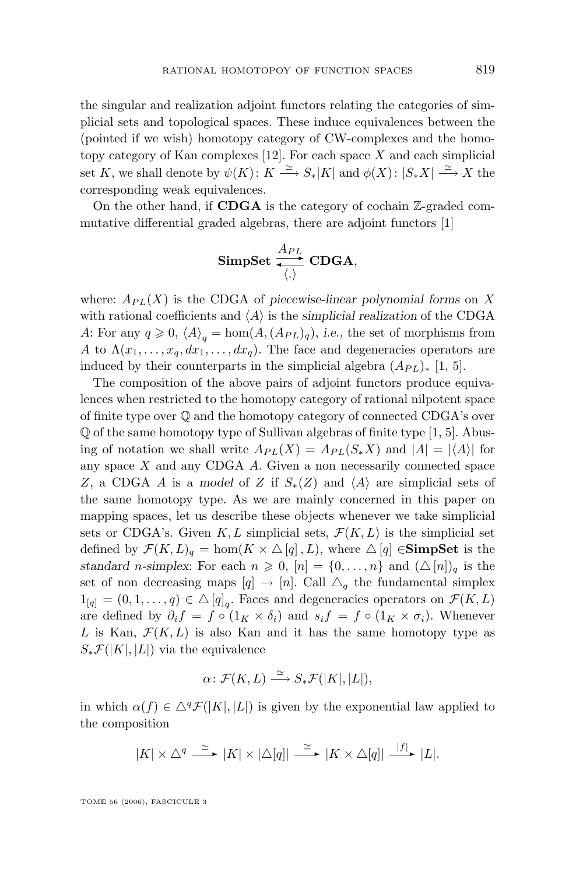the singular and realization adjoint functors relating the categories of simplicial sets and topological spaces. These induce equivalences between the (pointed if we wish) homotopy category of CW-complexes and the homotopy category of Kan complexes  $[12]$ . For each space X and each simplicial set K, we shall denote by  $\psi(K)$ :  $K \stackrel{\simeq}{\longrightarrow} S_*|K|$  and  $\phi(X)$ :  $|S_*X| \stackrel{\simeq}{\longrightarrow} X$  the corresponding weak equivalences.

On the other hand, if **CDGA** is the category of cochain  $\mathbb{Z}$ -graded commutative differential graded algebras, there are adjoint functors [\[1\]](#page-23-0)

$$
\textbf{SimpSet} \xrightarrow[\langle . \rangle]{A_{PL}} \textbf{CDGA},
$$

where:  $A_{PL}(X)$  is the CDGA of *piecewise-linear polynomial forms* on X with rational coefficients and  $\langle A \rangle$  is the *simplicial realization* of the CDGA A: For any  $q \ge 0$ ,  $\langle A \rangle_q = \text{hom}(A, (A_{PL})_q)$ , *i.e.*, the set of morphisms from A to  $\Lambda(x_1,\ldots,x_q,dx_1,\ldots,dx_q)$ . The face and degeneracies operators are induced by their counterparts in the simplicial algebra  $(A_{PL})_*$  [\[1,](#page-23-0) [5\]](#page-23-0).

The composition of the above pairs of adjoint functors produce equivalences when restricted to the homotopy category of rational nilpotent space of finite type over Q and the homotopy category of connected CDGA's over Q of the same homotopy type of Sullivan algebras of finite type [\[1,](#page-23-0) [5\]](#page-23-0). Abusing of notation we shall write  $A_{PL}(X) = A_{PL}(S_*X)$  and  $|A| = |\langle A \rangle|$  for any space  $X$  and any CDGA  $A$ . Given a non necessarily connected space Z, a CDGA A is a model of Z if  $S_*(Z)$  and  $\langle A \rangle$  are simplicial sets of the same homotopy type. As we are mainly concerned in this paper on mapping spaces, let us describe these objects whenever we take simplicial sets or CDGA's. Given K, L simplicial sets,  $\mathcal{F}(K, L)$  is the simplicial set defined by  $\mathcal{F}(K, L)$ <sub>q</sub> = hom( $K \times \Delta[q], L$ ), where  $\Delta[q] \in \mathbf{SimpSet}$  is the *standard n*-simplex: For each  $n \geq 0$ ,  $[n] = \{0, \ldots, n\}$  and  $(\triangle[n])_q$  is the set of non decreasing maps  $[q] \to [n]$ . Call  $\Delta_q$  the fundamental simplex  $1_{[q]} = (0, 1, \ldots, q) \in \Delta[q]_q$ . Faces and degeneracies operators on  $\mathcal{F}(K, L)$ are defined by  $\partial_i f = f \circ (1_K \times \delta_i)$  and  $s_i f = f \circ (1_K \times \sigma_i)$ . Whenever L is Kan,  $\mathcal{F}(K, L)$  is also Kan and it has the same homotopy type as  $S_*\mathcal{F}(|K|, |L|)$  via the equivalence

$$
\alpha\colon \mathcal{F}(K,L)\stackrel{\simeq}{\longrightarrow} S_*\mathcal{F}(|K|,|L|),
$$

in which  $\alpha(f) \in \Delta^q \mathcal{F}(|K|, |L|)$  is given by the exponential law applied to the composition

$$
|K| \times \triangle^q \stackrel{\simeq}{\longrightarrow} |K| \times |\triangle[q]| \stackrel{\cong}{\longrightarrow} |K \times \triangle[q]| \stackrel{|f|}{\longrightarrow} |L|.
$$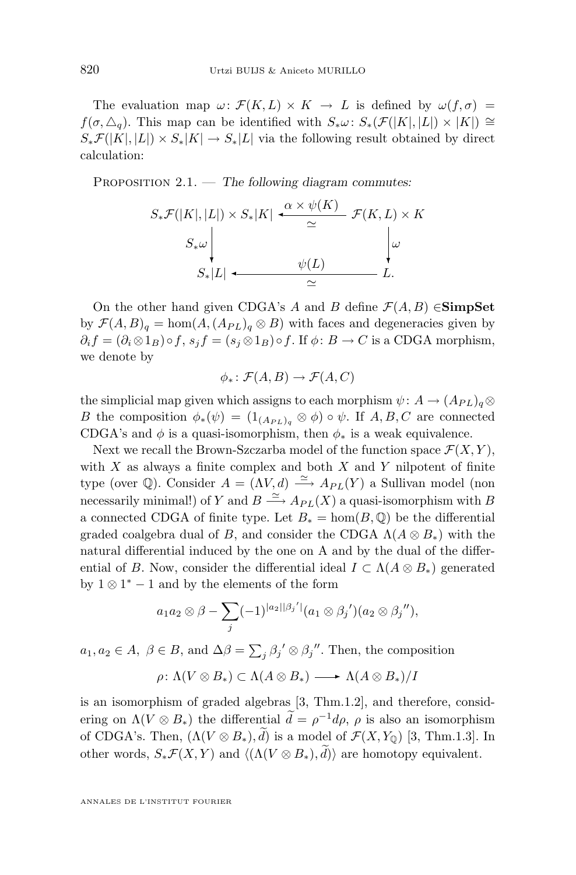<span id="page-6-0"></span>The evaluation map  $\omega \colon \mathcal{F}(K, L) \times K \to L$  is defined by  $\omega(f, \sigma) =$  $f(\sigma, \triangle_q)$ . This map can be identified with  $S_*\omega: S_*(\mathcal{F}(|K|, |L|) \times |K|) \cong$  $S_*\mathcal{F}(|K|, |L|) \times S_*|K| \to S_*|L|$  via the following result obtained by direct calculation:

Proposition 2.1. — *The following diagram commutes:*

$$
S_*\mathcal{F}(|K|, |L|) \times S_*|K| \xrightarrow{\alpha \times \psi(K)} \mathcal{F}(K, L) \times K
$$
  

$$
S_*\omega \downarrow \qquad \qquad \psi(L)
$$
  

$$
S_*|L| \xleftarrow{\psi(L)} L.
$$

On the other hand given CDGA's A and B define  $\mathcal{F}(A, B) \in \mathbf{SimpSet}$ by  $\mathcal{F}(A, B)$ <sub>q</sub> = hom $(A, (A_{PL})$ <sub>q</sub>  $\otimes$  B) with faces and degeneracies given by  $\partial_i f = (\partial_i \otimes 1_B) \circ f$ ,  $s_i f = (s_i \otimes 1_B) \circ f$ . If  $\phi : B \to C$  is a CDGA morphism, we denote by

$$
\phi_*\colon \mathcal{F}(A,B)\to \mathcal{F}(A,C)
$$

the simplicial map given which assigns to each morphism  $\psi: A \to (A_{PL})_q \otimes$ B the composition  $\phi_*(\psi) = (1_{(A_{PL})_q} \otimes \phi) \circ \psi$ . If  $A, B, C$  are connected CDGA's and  $\phi$  is a quasi-isomorphism, then  $\phi_*$  is a weak equivalence.

Next we recall the Brown-Szczarba model of the function space  $\mathcal{F}(X, Y)$ , with  $X$  as always a finite complex and both  $X$  and  $Y$  nilpotent of finite type (over Q). Consider  $A = (\Lambda V, d) \stackrel{\simeq}{\longrightarrow} A_{PL}(Y)$  a Sullivan model (non necessarily minimal!) of Y and  $B \stackrel{\simeq}{\longrightarrow} A_{PL}(X)$  a quasi-isomorphism with B a connected CDGA of finite type. Let  $B_* = \text{hom}(B, \mathbb{Q})$  be the differential graded coalgebra dual of B, and consider the CDGA  $\Lambda(A \otimes B_*)$  with the natural differential induced by the one on A and by the dual of the differential of B. Now, consider the differential ideal  $I \subset \Lambda(A \otimes B_*)$  generated by  $1 \otimes 1^* - 1$  and by the elements of the form

$$
a_1 a_2 \otimes \beta - \sum_j (-1)^{|a_2||\beta_j'|} (a_1 \otimes \beta_j')(a_2 \otimes \beta_j''),
$$

 $a_1, a_2 \in A, \ \beta \in B$ , and  $\Delta \beta = \sum_j \beta_j' \otimes \beta_j''$ . Then, the composition

$$
\rho\colon \Lambda(V\otimes B_*)\subset \Lambda(A\otimes B_*)\longrightarrow \Lambda(A\otimes B_*)/I
$$

is an isomorphism of graded algebras [\[3,](#page-23-0) Thm.1.2], and therefore, considering on  $\Lambda(V \otimes B_*)$  the differential  $\tilde{d} = \rho^{-1} d\rho$ ,  $\rho$  is also an isomorphism of CDGA's. Then,  $(\Lambda (V \otimes B_*) , \tilde{d})$  is a model of  $\mathcal{F}(X, Y_0)$  [\[3,](#page-23-0) Thm.1.3]. In other words,  $S_*\mathcal{F}(X, Y)$  and  $\langle (\Lambda(V \otimes B_*) , d) \rangle$  are homotopy equivalent.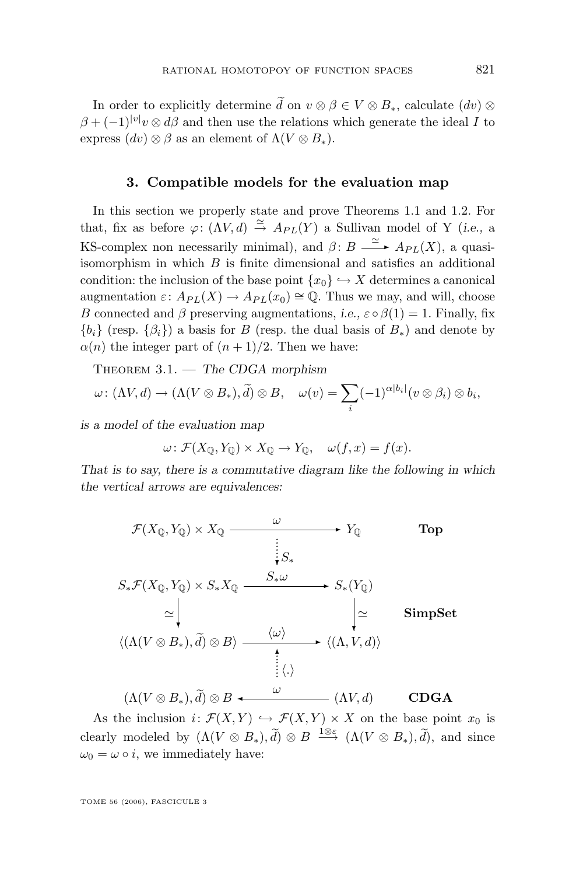<span id="page-7-0"></span>In order to explicitly determine  $\tilde{d}$  on  $v \otimes \beta \in V \otimes B_*$ , calculate  $(dv) \otimes$  $\beta + (-1)^{|v|}v \otimes d\beta$  and then use the relations which generate the ideal I to express  $(dv) \otimes \beta$  as an element of  $\Lambda(V \otimes B_*)$ .

#### **3. Compatible models for the evaluation map**

In this section we properly state and prove Theorems [1.1](#page-2-0) and [1.2.](#page-3-0) For that, fix as before  $\varphi: (\Lambda V, d) \stackrel{\simeq}{\to} Ap_L(Y)$  a Sullivan model of Y (*i.e.*, a KS-complex non necessarily minimal), and  $\beta: B \longrightarrow_{\mathbf{P}_L(X)} A_{PL}(X)$ , a quasiisomorphism in which  $B$  is finite dimensional and satisfies an additional condition: the inclusion of the base point  $\{x_0\} \hookrightarrow X$  determines a canonical augmentation  $\varepsilon: A_{PL}(X) \to A_{PL}(x_0) \cong \mathbb{Q}$ . Thus we may, and will, choose B connected and  $\beta$  preserving augmentations, *i.e.*,  $\varepsilon \circ \beta(1) = 1$ . Finally, fix  ${b_i}$  (resp.  ${\beta_i}$ ) a basis for B (resp. the dual basis of  $B_*$ ) and denote by  $\alpha(n)$  the integer part of  $(n+1)/2$ . Then we have:

Theorem 3.1. — *The CDGA morphism*

$$
\omega\colon (\Lambda V,d)\to (\Lambda (V\otimes B_*),\widetilde{d})\otimes B,\quad \omega(v)=\sum_i (-1)^{\alpha|b_i|}(v\otimes \beta_i)\otimes b_i,
$$

*is a model of the evaluation map*

$$
\omega \colon \mathcal{F}(X_{\mathbb{Q}}, Y_{\mathbb{Q}}) \times X_{\mathbb{Q}} \to Y_{\mathbb{Q}}, \quad \omega(f, x) = f(x).
$$

*That is to say, there is a commutative diagram like the following in which the vertical arrows are equivalences:*

$$
\mathcal{F}(X_{\mathbb{Q}}, Y_{\mathbb{Q}}) \times X_{\mathbb{Q}} \xrightarrow{\omega} Y_{\mathbb{Q}}
$$
\n
$$
S_* \mathcal{F}(X_{\mathbb{Q}}, Y_{\mathbb{Q}}) \times S_* X_{\mathbb{Q}} \xrightarrow{\qquad \qquad } S_* \omega
$$
\n
$$
\simeq \begin{vmatrix}\n & & & \\
 \downarrow S_* \\
 & & & \downarrow \\
 & & & \downarrow \\
 & & & \downarrow \\
 & & & \downarrow \\
 & & & \downarrow \\
 & & & & \downarrow \\
 & & & & \downarrow \\
 & & & & \downarrow \\
 & & & & \downarrow \\
 & & & & \downarrow \\
 & & & & \downarrow \\
 & & & & \downarrow \\
 & & & & \downarrow \\
 & & & & \downarrow \\
 & & & & \downarrow \\
 & & & & \downarrow \\
 & & & & \downarrow \\
 & & & & \downarrow \\
 & & & & \downarrow \\
 & & & & \downarrow \\
 & & & & \downarrow \\
 & & & & \downarrow \\
 & & & & \downarrow \\
 & & & & \downarrow \\
 & & & & \downarrow \\
 & & & & \downarrow \\
 & & & & \downarrow \\
 & & & & \downarrow \\
 & & & & \downarrow \\
 & & & & \downarrow \\
 & & & & \downarrow \\
 & & & & \downarrow \\
 & & & & \downarrow \\
 & & & & \downarrow \\
 & & & & \downarrow \\
 & & & & \downarrow \\
 & & & & \downarrow \\
 & & & & \downarrow \\
 & & & & & \downarrow \\
 & & & & & \downarrow \\
 & & & & & \downarrow \\
 & & & & & \downarrow \\
 & & & & & \downarrow \\
 & & & & & \downarrow \\
 & & & & & \downarrow \\
 & & & & & \downarrow \\
 & & & & & \downarrow \\
 & & & & & \downarrow \\
 & & & & & \downarrow \\
 & & & & & \downarrow \\
 & & & & & \downarrow \\
 & & & & & \downarrow \\
 & & & & & \downarrow \\
 & & & & & \downarrow \\
 & & & & & \downarrow \\
 & & & & & \downarrow \\
 & & & & & \downarrow \\
 & & & & & \downarrow \\
 & & & & & \downarrow \\
 & & & & & \downarrow \\
 & & & & & \downarrow \\
 & & & & & \downarrow \\
 & & & & & \downarrow \\
 & & & & & \downarrow \\
 & & & & & \downarrow \\
 & & & & & \downarrow \\
 & & & & & \downarrow \\
 & & & & & \downarrow \\
 & & & & & \downarrow \\
 & & & & & \downarrow \\
 & & & & & \downarrow \\
 & & & & & \downarrow \\
 & & & & & \downarrow \\
 & & & & & \downarrow \\
$$

As the inclusion  $i: \mathcal{F}(X, Y) \hookrightarrow \mathcal{F}(X, Y) \times X$  on the base point  $x_0$  is clearly modeled by  $(\Lambda(V \otimes B_*) , \tilde{d}) \otimes B \stackrel{1 \otimes \varepsilon}{\longrightarrow} (\Lambda(V \otimes B_*), \tilde{d})$ , and since  $\omega_0 = \omega \circ i$ , we immediately have: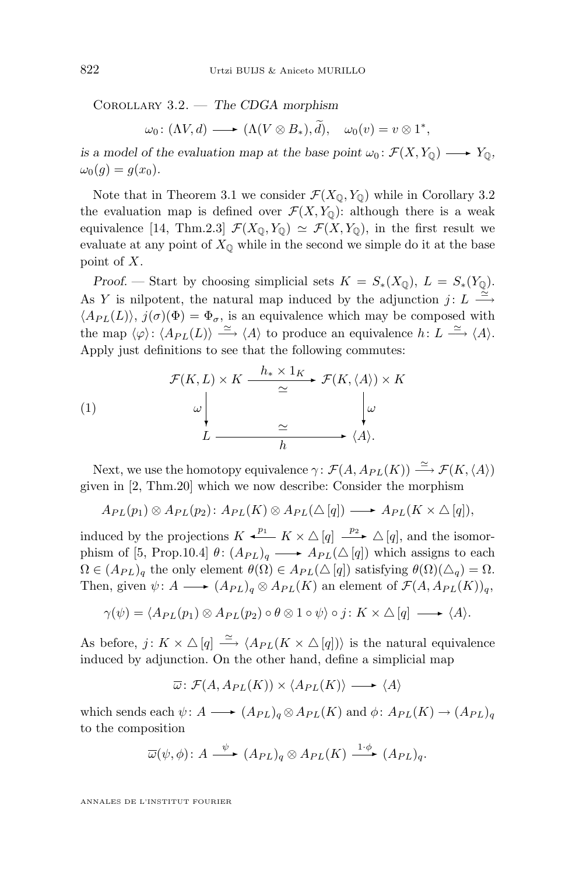Corollary 3.2. — *The CDGA morphism*

$$
\omega_0\colon (\Lambda V, d) \longrightarrow (\Lambda (V \otimes B_*), \widetilde{d}), \quad \omega_0(v) = v \otimes 1^*,
$$

*is a model of the evaluation map at the base point*  $\omega_0$ :  $\mathcal{F}(X, Y_0) \longrightarrow Y_0$ *,*  $\omega_0(q) = q(x_0).$ 

Note that in Theorem [3.1](#page-7-0) we consider  $\mathcal{F}(X_{\mathbb{Q}}, Y_{\mathbb{Q}})$  while in Corollary [3.2](#page-7-0) the evaluation map is defined over  $\mathcal{F}(X, Y_{\mathbb{Q}})$ : although there is a weak equivalence [\[14,](#page-24-0) Thm.2.3]  $\mathcal{F}(X_0, Y_0) \simeq \mathcal{F}(X, Y_0)$ , in the first result we evaluate at any point of  $X_0$  while in the second we simple do it at the base point of X.

*Proof.* — Start by choosing simplicial sets  $K = S_*(X_{\mathbb{Q}}), L = S_*(Y_{\mathbb{Q}}).$ As Y is nilpotent, the natural map induced by the adjunction  $j: L \stackrel{\simeq}{\longrightarrow}$  $\langle A_{PL}(L)\rangle$ ,  $j(\sigma)(\Phi) = \Phi_{\sigma}$ , is an equivalence which may be composed with the map  $\langle \varphi \rangle : \langle A_{PL}(L) \rangle \stackrel{\simeq}{\longrightarrow} \langle A \rangle$  to produce an equivalence  $h: L \stackrel{\simeq}{\longrightarrow} \langle A \rangle$ . Apply just definitions to see that the following commutes:

(1)  

$$
\mathcal{F}(K, L) \times K \xrightarrow{h_* \times 1_K} \mathcal{F}(K, \langle A \rangle) \times K
$$

$$
\omega \downarrow \omega
$$

$$
L \xrightarrow{\simeq} \langle A \rangle.
$$

Next, we use the homotopy equivalence  $\gamma: \mathcal{F}(A, A_{PL}(K)) \stackrel{\simeq}{\longrightarrow} \mathcal{F}(K,\langle A \rangle)$ given in [\[2,](#page-23-0) Thm.20] which we now describe: Consider the morphism

$$
A_{PL}(p_1) \otimes A_{PL}(p_2) : A_{PL}(K) \otimes A_{PL}(\triangle [q]) \longrightarrow A_{PL}(K \times \triangle [q]),
$$

induced by the projections  $K \xleftarrow{p_1} K \times \triangle [q] \xrightarrow{p_2} \triangle [q]$ , and the isomor-phism of [\[5,](#page-23-0) Prop.10.4]  $\theta$ :  $(A_{PL})_q \longrightarrow A_{PL}(\triangle [q])$  which assigns to each  $\Omega \in (A_{PL})_q$  the only element  $\theta(\Omega) \in A_{PL}(\triangle [q])$  satisfying  $\theta(\Omega)(\triangle_q) = \Omega$ . Then, given  $\psi: A \longrightarrow (A_{PL})_q \otimes A_{PL}(K)$  an element of  $\mathcal{F}(A, A_{PL}(K))_q$ ,

$$
\gamma(\psi) = \langle A_{PL}(p_1) \otimes A_{PL}(p_2) \circ \theta \otimes 1 \circ \psi \rangle \circ j : K \times \triangle [q] \longrightarrow \langle A \rangle.
$$

As before,  $j: K \times \Delta[q] \stackrel{\simeq}{\longrightarrow} \langle A_{PL}(K \times \Delta[q]) \rangle$  is the natural equivalence induced by adjunction. On the other hand, define a simplicial map

$$
\overline{\omega} \colon \mathcal{F}(A, A_{PL}(K)) \times \langle A_{PL}(K) \rangle \longrightarrow \langle A \rangle
$$

which sends each  $\psi: A \longrightarrow (A_{PL})_q \otimes A_{PL}(K)$  and  $\phi: A_{PL}(K) \longrightarrow (A_{PL})_q$ to the composition

$$
\overline{\omega}(\psi,\phi)\colon A\stackrel{\psi}{\longrightarrow} (A_{PL})_q\otimes A_{PL}(K)\stackrel{1\cdot\phi}{\longrightarrow} (A_{PL})_q.
$$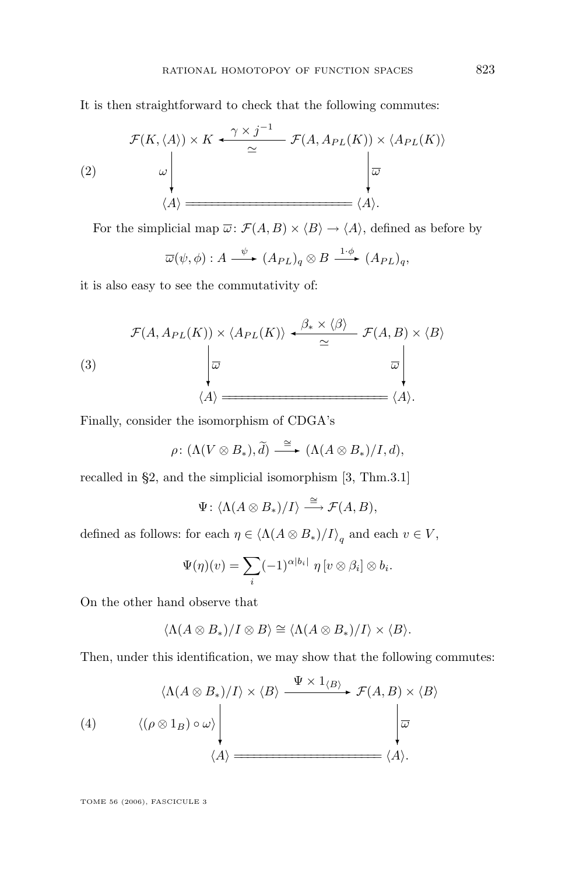It is then straightforward to check that the following commutes:

(2)  
\n
$$
\mathcal{F}(K,\langle A \rangle) \times K \xrightarrow{\gamma \times j^{-1}} \mathcal{F}(A, A_{PL}(K)) \times \langle A_{PL}(K) \rangle
$$
\n
$$
\downarrow \omega
$$
\n
$$
\langle A \rangle \xrightarrow{\omega} \langle A \rangle.
$$

For the simplicial map  $\overline{\omega}$ :  $\mathcal{F}(A, B) \times \langle B \rangle \rightarrow \langle A \rangle$ , defined as before by

$$
\overline{\omega}(\psi,\phi): A \xrightarrow{\psi} (A_{PL})_q \otimes B \xrightarrow{1 \cdot \phi} (A_{PL})_q,
$$

it is also easy to see the commutativity of:

(3)  
\n
$$
\mathcal{F}(A, A_{PL}(K)) \times \langle A_{PL}(K) \rangle \xrightarrow{\beta_* \times \langle \beta \rangle} \mathcal{F}(A, B) \times \langle B \rangle
$$
\n
$$
\downarrow \overline{\omega}
$$
\n
$$
\langle A \rangle = \langle A \rangle.
$$

Finally, consider the isomorphism of CDGA's

$$
\rho\colon (\Lambda(V\otimes B_*),\widetilde{d})\stackrel{\cong}{\longrightarrow} (\Lambda(A\otimes B_*)/I,d),
$$

recalled in §2, and the simplicial isomorphism [\[3,](#page-23-0) Thm.3.1]

$$
\Psi\colon \langle \Lambda(A\otimes B_*)/I\rangle \stackrel{\cong}{\longrightarrow} \mathcal{F}(A,B),
$$

defined as follows: for each  $\eta \in \langle \Lambda(A \otimes B_*)/I \rangle_q$  and each  $v \in V$ ,

$$
\Psi(\eta)(v) = \sum_{i} (-1)^{\alpha|b_i|} \eta[v \otimes \beta_i] \otimes b_i.
$$

On the other hand observe that

$$
\langle \Lambda(A \otimes B_*)/I \otimes B \rangle \cong \langle \Lambda(A \otimes B_*)/I \rangle \times \langle B \rangle.
$$

Then, under this identification, we may show that the following commutes:

$$
\langle \Lambda(A \otimes B_*)/I \rangle \times \langle B \rangle \xrightarrow{\Psi \times 1_{\langle B \rangle}} \mathcal{F}(A, B) \times \langle B \rangle
$$
\n
$$
\langle (\rho \otimes 1_B) \circ \omega \rangle \downarrow \qquad \qquad \downarrow \qquad \downarrow
$$
\n
$$
\langle A \rangle \xrightarrow{\langle A \rangle} \langle A \rangle.
$$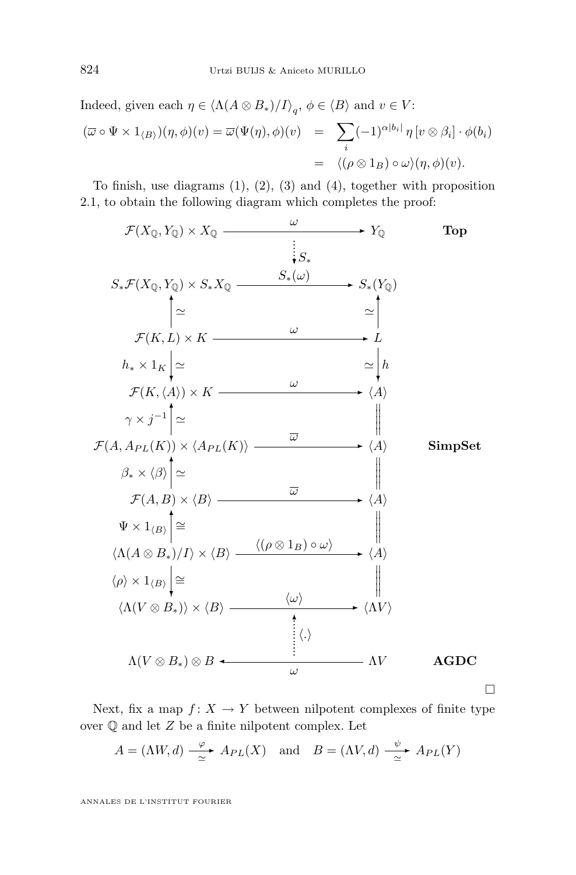Indeed, given each 
$$
\eta \in \langle \Lambda(A \otimes B_*)/I \rangle_q
$$
,  $\phi \in \langle B \rangle$  and  $v \in V$ :  
\n
$$
(\overline{\omega} \circ \Psi \times 1_{\langle B \rangle})(\eta, \phi)(v) = \overline{\omega}(\Psi(\eta), \phi)(v) = \sum_i (-1)^{\alpha |b_i|} \eta[v \otimes \beta_i] \cdot \phi(b_i)
$$
\n
$$
= \langle (\rho \otimes 1_B) \circ \omega \rangle(\eta, \phi)(v).
$$

To finish, use diagrams  $(1)$ ,  $(2)$ ,  $(3)$  and  $(4)$ , together with proposition [2.1,](#page-6-0) to obtain the following diagram which completes the proof:



Next, fix a map  $f: X \to Y$  between nilpotent complexes of finite type over  $\mathbb O$  and let  $Z$  be a finite nilpotent complex. Let

$$
A = (\Lambda W, d) \xrightarrow{\varphi} A_{PL}(X) \quad \text{and} \quad B = (\Lambda V, d) \xrightarrow{\psi} A_{PL}(Y)
$$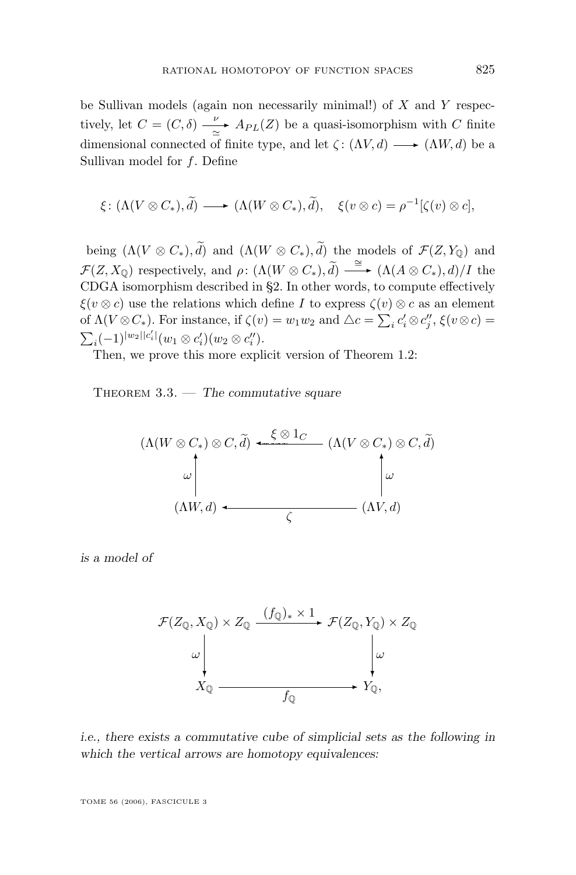<span id="page-11-0"></span>be Sullivan models (again non necessarily minimal!) of  $X$  and  $Y$  respectively, let  $C = (C, \delta) - \frac{\nu}{2}$  $\frac{\nu}{\alpha}$  A<sub>PL</sub>(Z) be a quasi-isomorphism with C finite dimensional connected of finite type, and let  $\zeta: (\Lambda V, d) \longrightarrow (\Lambda W, d)$  be a Sullivan model for  $f$ . Define

$$
\xi\colon (\Lambda(V\otimes C_*),\widetilde{d})\longrightarrow (\Lambda(W\otimes C_*),\widetilde{d}),\quad \xi(v\otimes c)=\rho^{-1}[\zeta(v)\otimes c],
$$

being  $(\Lambda(V\otimes C_*), \widetilde{d})$  and  $(\Lambda(W\otimes C_*), \widetilde{d})$  the models of  $\mathcal{F}(Z, Y_{\mathbb{Q}})$  and  $\mathcal{F}(Z, X_{\mathbb{Q}})$  respectively, and  $\rho: (\Lambda(W \otimes C_*), \widetilde{d}) \longrightarrow (\Lambda(A \otimes C_*), d)/I$  the CDGA isomorphism described in §2. In other words, to compute effectively  $\xi(v \otimes c)$  use the relations which define I to express  $\zeta(v) \otimes c$  as an element of  $\Lambda(V \otimes C_*)$ . For instance, if  $\zeta(v) = w_1w_2$  and  $\triangle c = \sum_i c_i' \otimes c_j''$ ,  $\xi(v \otimes c) =$  $\sum_i (-1)^{|w_2||c'_i|} (w_1 \otimes c'_i)(w_2 \otimes c''_i).$ 

Then, we prove this more explicit version of Theorem [1.2:](#page-3-0)

THEOREM 3.3. — *The commutative square* 

$$
(\Lambda(W \otimes C_*) \otimes C, \widetilde{d}) \xrightarrow{\xi \otimes 1_C} (\Lambda(V \otimes C_*) \otimes C, \widetilde{d})
$$
  

$$
\omega \downarrow \omega
$$
  

$$
(\Lambda W, d) \xleftarrow{\xi} (\Lambda V, d)
$$

*is a model of*

$$
\mathcal{F}(Z_{\mathbb{Q}}, X_{\mathbb{Q}}) \times Z_{\mathbb{Q}} \xrightarrow{\left(f_{\mathbb{Q}}\right)_{*} \times 1} \mathcal{F}(Z_{\mathbb{Q}}, Y_{\mathbb{Q}}) \times Z_{\mathbb{Q}}
$$
\n
$$
\downarrow \qquad \qquad \downarrow \qquad \qquad \downarrow \qquad \qquad \downarrow \qquad \downarrow
$$
\n
$$
X_{\mathbb{Q}} \xrightarrow{\qquad \qquad f_{\mathbb{Q}}} Y_{\mathbb{Q}},
$$

*i.e., there exists a commutative cube of simplicial sets as the following in which the vertical arrows are homotopy equivalences:*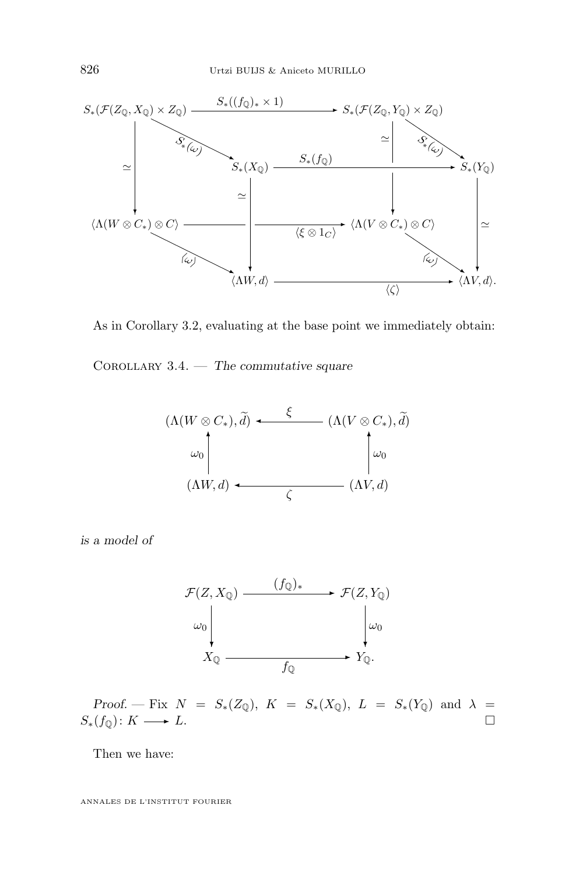

As in Corollary [3.2,](#page-7-0) evaluating at the base point we immediately obtain:

Corollary 3.4. — *The commutative square*



*is a model of*



*Proof.* — Fix  $N = S_*(Z_{\mathbb{Q}})$ ,  $K = S_*(X_{\mathbb{Q}})$ ,  $L = S_*(Y_{\mathbb{Q}})$  and  $\lambda =$  $S_*(f_{\mathbb{Q}}): K \longrightarrow L.$ 

Then we have: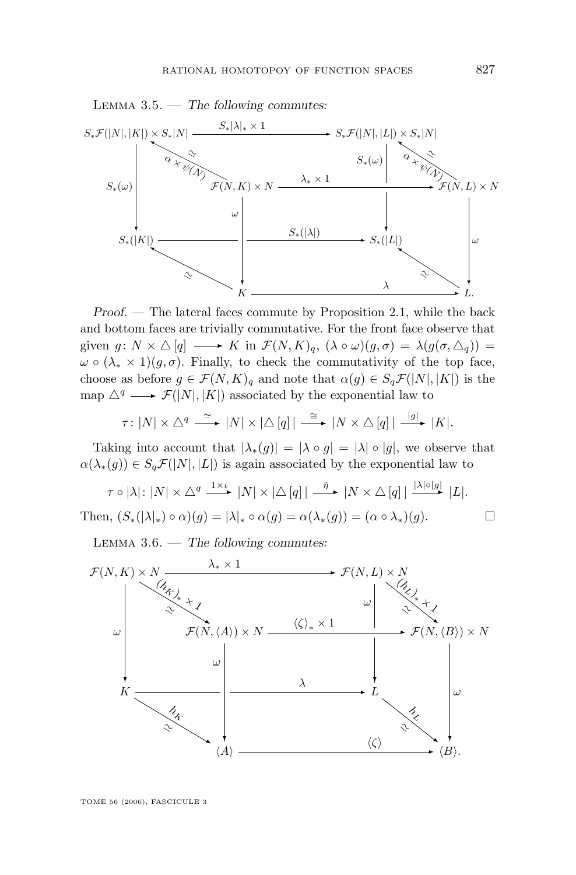

*Proof. —* The lateral faces commute by Proposition [2.1,](#page-6-0) while the back and bottom faces are trivially commutative. For the front face observe that given  $g: N \times \triangle [q] \longrightarrow K$  in  $\mathcal{F}(N, K)_q$ ,  $(\lambda \circ \omega)(g, \sigma) = \lambda(g(\sigma, \triangle_q)) =$  $\omega \circ (\lambda_* \times 1)(g, \sigma)$ . Finally, to check the commutativity of the top face, choose as before  $g \in \mathcal{F}(N, K)$ <sub>q</sub> and note that  $\alpha(g) \in S_q\mathcal{F}(|N|, |K|)$  is the map  $\triangle^q \longrightarrow \mathcal{F}(|N|, |K|)$  associated by the exponential law to

$$
\tau\colon |N|\times\triangle^q\stackrel{\simeq}{\longrightarrow}|N|\times|\triangle[q]|\stackrel{\cong}{\longrightarrow}|N\times\triangle[q]|\stackrel{|g|}{\longrightarrow}|K|.
$$

Taking into account that  $|\lambda_*(g)| = |\lambda \circ g| = |\lambda| \circ |g|$ , we observe that  $\alpha(\lambda_*(g)) \in S_q \mathcal{F}(|N|, |L|)$  is again associated by the exponential law to

$$
\tau \circ |\lambda|: |N| \times \triangle^{q} \xrightarrow{1 \times \iota} |N| \times |\triangle [q]| \xrightarrow{\bar{\eta}} |N \times \triangle [q]| \xrightarrow{|\lambda| \circ |g|} |L|.
$$
  
Then,  $(S_*(|\lambda|_*) \circ \alpha)(g) = |\lambda|_* \circ \alpha(g) = \alpha(\lambda_*(g)) = (\alpha \circ \lambda_*)(g).$ 

Lemma 3.6. — *The following commutes:*

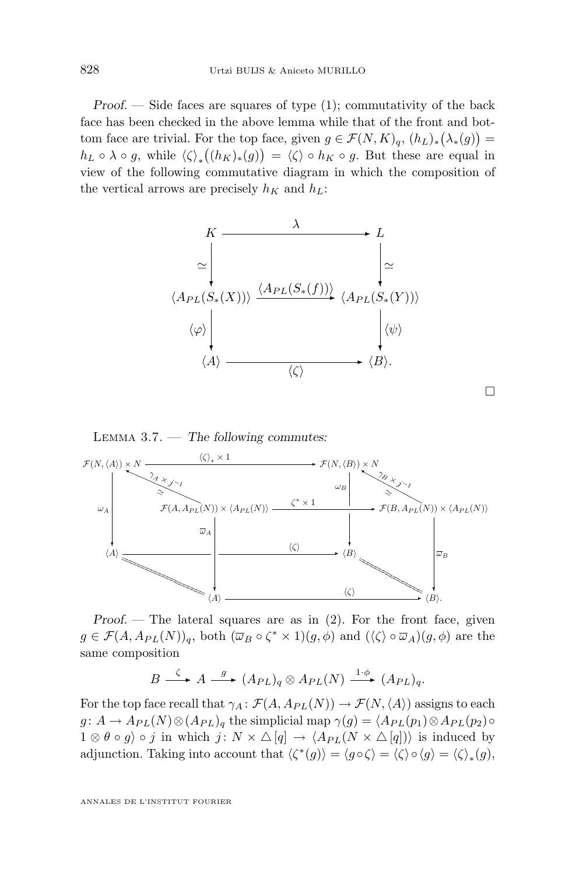*Proof.* — Side faces are squares of type (1); commutativity of the back face has been checked in the above lemma while that of the front and bottom face are trivial. For the top face, given  $g \in \mathcal{F}(N,K)_q$ ,  $(h_L)_*(\lambda_*(g)) =$  $h_L \circ \lambda \circ g$ , while  $\langle \zeta \rangle_*(h_K)_*(g) = \langle \zeta \rangle \circ h_K \circ g$ . But these are equal in view of the following commutative diagram in which the composition of the vertical arrows are precisely  $h_K$  and  $h_L$ :





*Proof.* — The lateral squares are as in (2). For the front face, given  $g \in \mathcal{F}(A, A_{PL}(N))_q$ , both  $(\overline{\omega}_B \circ \zeta^* \times 1)(g, \phi)$  and  $(\langle \zeta \rangle \circ \overline{\omega}_A)(g, \phi)$  are the same composition

$$
B \stackrel{\zeta}{\longrightarrow} A \stackrel{g}{\longrightarrow} (A_{PL})_q \otimes A_{PL}(N) \stackrel{1 \cdot \phi}{\longrightarrow} (A_{PL})_q.
$$

For the top face recall that  $\gamma_A : \mathcal{F}(A, A_{PL}(N)) \to \mathcal{F}(N,\langle A \rangle)$  assigns to each  $g: A \to A_{PL}(N) \otimes (A_{PL})_q$  the simplicial map  $\gamma(g) = \langle A_{PL}(p_1) \otimes A_{PL}(p_2) \circ A_{PL}(p_1) \rangle$  $1 \otimes \theta \circ g$  o j in which j:  $N \times \Delta[q] \rightarrow \langle A_{PL}(N \times \Delta[q]) \rangle$  is induced by adjunction. Taking into account that  $\langle \zeta^*(g) \rangle = \langle g \circ \zeta \rangle = \langle \zeta \rangle \circ \langle g \rangle = \langle \zeta \rangle_*(g)$ ,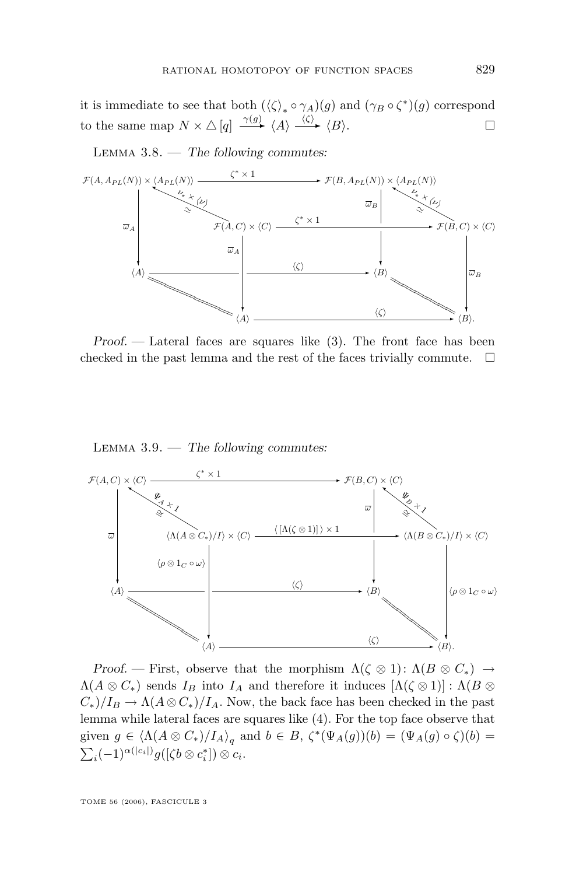it is immediate to see that both  $(\langle \zeta \rangle_* \circ \gamma_A)(g)$  and  $(\gamma_B \circ \zeta^*)(g)$  correspond to the same map  $N \times \triangle [q] \xrightarrow{\gamma(g)} \langle A \rangle \xrightarrow{\langle \zeta \rangle} \langle B \rangle$ .

Lemma 3.8. — *The following commutes:*



*Proof. —* Lateral faces are squares like (3). The front face has been checked in the past lemma and the rest of the faces trivially commute.  $\Box$ 

Lemma 3.9. — *The following commutes:*



*Proof.* — First, observe that the morphism  $\Lambda(\zeta \otimes 1)$ :  $\Lambda(B \otimes C_*) \to$  $\Lambda(A \otimes C_*)$  sends  $I_B$  into  $I_A$  and therefore it induces  $[\Lambda(\zeta \otimes 1)] : \Lambda(B \otimes$  $C_*//I_B \to \Lambda(A\otimes C_*)/I_A$ . Now, the back face has been checked in the past lemma while lateral faces are squares like (4). For the top face observe that given  $g \in \langle \Lambda(A \otimes C_*)/I_A \rangle_q$  and  $b \in B$ ,  $\zeta^*(\Psi_A(g))(b) = (\Psi_A(g) \circ \zeta)(b) =$  $\sum_i(-1)^{\alpha(|c_i|)}g([\zeta b\otimes c_i^*])\otimes c_i.$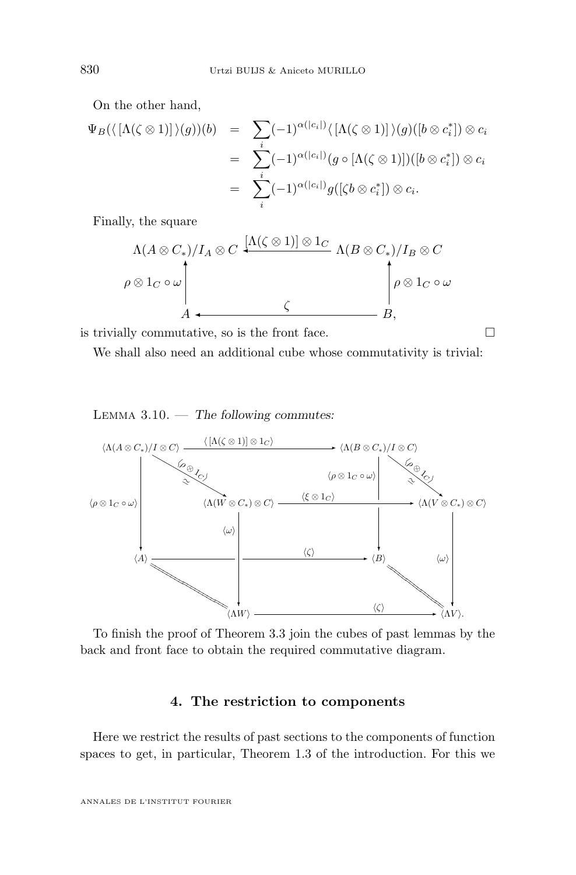On the other hand,

$$
\Psi_B(\langle [\Lambda(\zeta \otimes 1)] \rangle(g))(b) = \sum_i (-1)^{\alpha(|c_i|)} \langle [\Lambda(\zeta \otimes 1)] \rangle(g)([b \otimes c_i^*]) \otimes c_i
$$
  
\n
$$
= \sum_i (-1)^{\alpha(|c_i|)} (g \circ [\Lambda(\zeta \otimes 1)])([b \otimes c_i^*]) \otimes c_i
$$
  
\n
$$
= \sum_i (-1)^{\alpha(|c_i|)} g([\zeta b \otimes c_i^*]) \otimes c_i.
$$

Finally, the square

$$
\Lambda(A \otimes C_*)/I_A \otimes C \xrightarrow{\left[\Lambda(\zeta \otimes 1)\right] \otimes 1_C} \Lambda(B \otimes C_*)/I_B \otimes C
$$
\n
$$
\rho \otimes 1_C \circ \omega
$$
\n
$$
A \xleftarrow{\zeta} \qquad \qquad \downarrow \qquad \qquad \rho \otimes 1_C \circ \omega
$$
\n
$$
B,
$$

is trivially commutative, so is the front face.  $\Box$ 

We shall also need an additional cube whose commutativity is trivial:

Lemma 3.10. — *The following commutes:*



To finish the proof of Theorem [3.3](#page-11-0) join the cubes of past lemmas by the back and front face to obtain the required commutative diagram.

#### **4. The restriction to components**

Here we restrict the results of past sections to the components of function spaces to get, in particular, Theorem [1.3](#page-3-0) of the introduction. For this we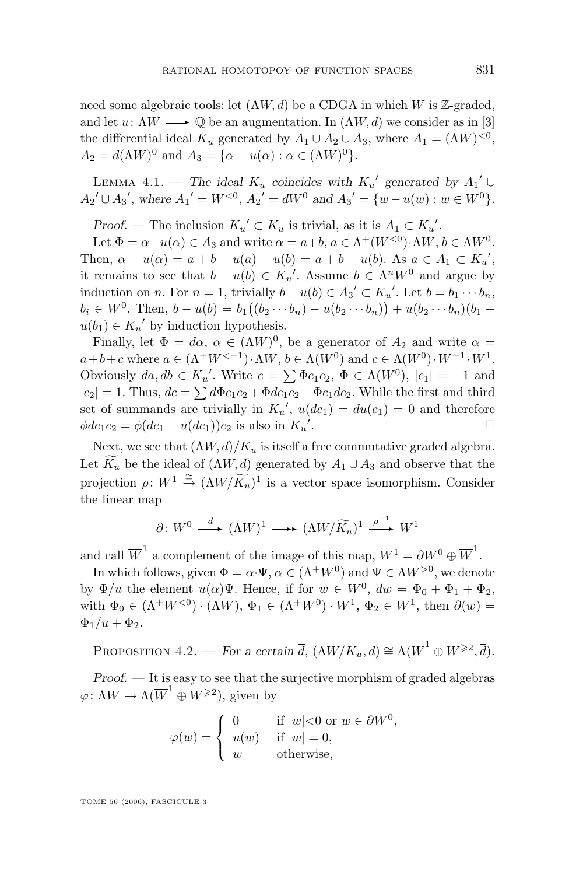<span id="page-17-0"></span>need some algebraic tools: let  $(\Lambda W, d)$  be a CDGA in which W is Z-graded, and let  $u: \Lambda W \longrightarrow \mathbb{Q}$  be an augmentation. In  $(\Lambda W, d)$  we consider as in [\[3\]](#page-23-0) the differential ideal  $K_u$  generated by  $A_1 \cup A_2 \cup A_3$ , where  $A_1 = (\Lambda W)^{<0}$ ,  $A_2 = d(\Lambda W)^0$  and  $A_3 = {\alpha - u(\alpha) : \alpha \in (\Lambda W)^0}.$ 

LEMMA 4.1. — The ideal  $K_u$  coincides with  $K_u'$  generated by  $A_1' \cup$  $A_2' \cup A_3'$ , where  $A_1' = W^{<0}$ ,  $A_2' = dW^0$  and  $A_3' = \{w - u(w) : w \in W^0\}$ .

*Proof.* — The inclusion  $K_u' \subset K_u$  is trivial, as it is  $A_1 \subset K_u'$ .

Let  $\Phi = \alpha - u(\alpha) \in A_3$  and write  $\alpha = a+b$ ,  $a \in \Lambda^+(W^{<0}) \cdot \Lambda W$ ,  $b \in \Lambda W^0$ . Then,  $\alpha - u(\alpha) = a + b - u(a) - u(b) = a + b - u(b)$ . As  $a \in A_1 \subset K_u'$ , it remains to see that  $b - u(b) \in K_u'$ . Assume  $b \in \Lambda^n W^0$  and argue by induction on *n*. For  $n = 1$ , trivially  $b - u(b) \in A_3' \subset K_u'$ . Let  $b = b_1 \cdots b_n$ ,  $b_i \in W^0$ . Then,  $b - u(b) = b_1((b_2 \cdots b_n) - u(b_2 \cdots b_n)) + u(b_2 \cdots b_n)(b_1$  $u(b_1) \in K_u'$  by induction hypothesis.

Finally, let  $\Phi = d\alpha$ ,  $\alpha \in (\Lambda W)^0$ , be a generator of  $A_2$  and write  $\alpha =$  $a+b+c$  where  $a \in (\Lambda^+ W^{<-1}) \cdot \Lambda W$ ,  $b \in \Lambda(W^0)$  and  $c \in \Lambda(W^0) \cdot W^{-1} \cdot W^1$ . Obviously  $da, db \in K_u'$ . Write  $c = \sum \Phi c_1 c_2, \Phi \in \Lambda(W^0), |c_1| = -1$  and  $|c_2| = 1$ . Thus,  $dc = \sum d\Phi c_1 c_2 + \Phi dc_1 c_2 - \Phi c_1 dc_2$ . While the first and third set of summands are trivially in  $K_u'$ ,  $u(dc_1) = du(c_1) = 0$  and therefore  $\phi dc_1c_2 = \phi(dc_1 - u(dc_1))c_2$  is also in  $K_u'$ .

Next, we see that  $(\Lambda W, d)/K_u$  is itself a free commutative graded algebra. Let  $K_u$  be the ideal of  $(\Lambda W, d)$  generated by  $A_1 \cup A_3$  and observe that the projection  $\rho: W^1 \stackrel{\cong}{\to} (\Lambda W / \widetilde{K}_u)^1$  is a vector space isomorphism. Consider the linear map

$$
\partial \colon W^0 \xrightarrow{d} (\Lambda W)^1 \longrightarrow (\Lambda W / \widetilde{K}_u)^1 \xrightarrow{\rho^{-1}} W^1
$$

and call  $\overline{W}^1$  a complement of the image of this map,  $W^1 = \partial W^0 \oplus \overline{W}^1$ .

In which follows, given  $\Phi = \alpha \cdot \Psi$ ,  $\alpha \in (\Lambda^+ W^0)$  and  $\Psi \in \Lambda W^{>0}$ , we denote by  $\Phi/u$  the element  $u(\alpha)\Psi$ . Hence, if for  $w \in W^0$ ,  $dw = \Phi_0 + \Phi_1 + \Phi_2$ , with  $\Phi_0 \in (\Lambda^+ W^{<0}) \cdot (\Lambda W)$ ,  $\Phi_1 \in (\Lambda^+ W^0) \cdot W^1$ ,  $\Phi_2 \in W^1$ , then  $\partial(w)$  =  $\Phi_1/u + \Phi_2$ .

PROPOSITION  $4.2.$  — *For a certain*  $\overline{d}$ ,  $(\Lambda W/K_u, d) \cong \Lambda(\overline{W}^1 \oplus W^{\geq 2}, \overline{d})$ *.* 

*Proof.* — It is easy to see that the surjective morphism of graded algebras  $\varphi\colon \Lambda W \to \Lambda (\overline{W}^1 \oplus W^{\geqslant 2}),$  given by

$$
\varphi(w) = \begin{cases} 0 & \text{if } |w| < 0 \text{ or } w \in \partial W^0, \\ u(w) & \text{if } |w| = 0, \\ w & \text{otherwise,} \end{cases}
$$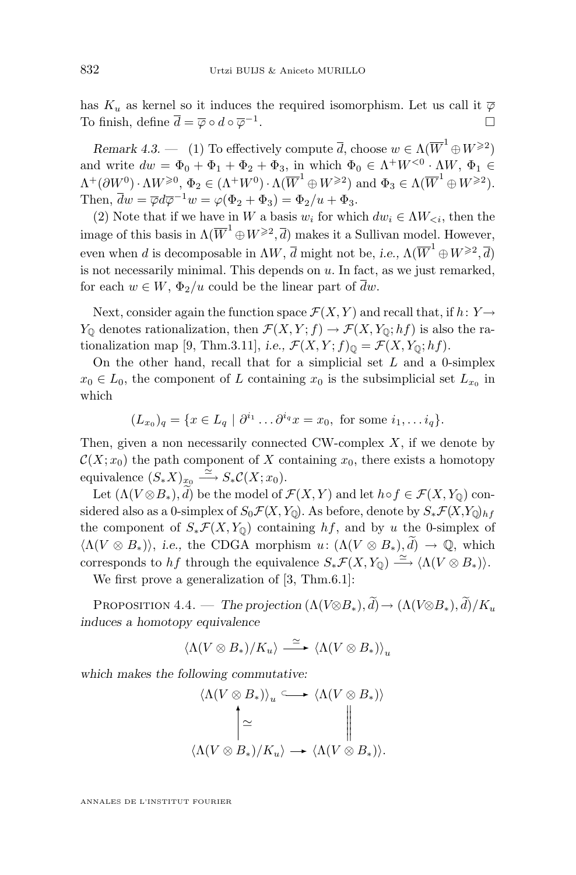<span id="page-18-0"></span>has  $K_u$  as kernel so it induces the required isomorphism. Let us call it  $\overline{\varphi}$ To finish, define  $\overline{d} = \overline{\varphi} \circ d \circ \overline{\varphi}^{-1}$ .

*Remark 4.3.* — (1) To effectively compute  $\overline{d}$ , choose  $w \in \Lambda(\overline{W}^1 \oplus W^{\geq 2})$ and write  $dw = \Phi_0 + \Phi_1 + \Phi_2 + \Phi_3$ , in which  $\Phi_0 \in \Lambda^+ W^{<0} \cdot \Lambda W$ ,  $\Phi_1 \in$  $\Lambda^+(\partial W^0) \cdot \Lambda W^{\geqslant 0}, \, \Phi_2 \in (\Lambda^+ W^0) \cdot \Lambda (\overline{W}^1 \oplus W^{\geqslant 2}) \text{ and } \Phi_3 \in \Lambda (\overline{W}^1 \oplus W^{\geqslant 2}).$ Then,  $\overline{d}w = \overline{\varphi}d\overline{\varphi}^{-1}w = \varphi(\Phi_2 + \Phi_3) = \Phi_2/u + \Phi_3.$ 

(2) Note that if we have in W a basis  $w_i$  for which  $dw_i \in \Lambda W_{\leq i}$ , then the image of this basis in  $\Lambda(\overline{W}^1\oplus W^{\geqslant 2}, \overline{d})$  makes it a Sullivan model. However, even when d is decomposable in  $\Lambda W$ ,  $\overline{d}$  might not be, *i.e.*,  $\Lambda (\overline{W}^1 \oplus W^{\geqslant 2}, \overline{d})$ is not necessarily minimal. This depends on  $u$ . In fact, as we just remarked, for each  $w \in W$ ,  $\Phi_2/u$  could be the linear part of  $\overline{d}w$ .

Next, consider again the function space  $\mathcal{F}(X, Y)$  and recall that, if  $h: Y \rightarrow$  $Y_{\mathbb{Q}}$  denotes rationalization, then  $\mathcal{F}(X, Y; f) \to \mathcal{F}(X, Y_{\mathbb{Q}}; hf)$  is also the ra-tionalization map [\[9,](#page-23-0) Thm.3.11], *i.e.*,  $\mathcal{F}(X, Y; f)_{\mathbb{Q}} = \mathcal{F}(X, Y_{\mathbb{Q}}; hf)$ .

On the other hand, recall that for a simplicial set  $L$  and a 0-simplex  $x_0 \in L_0$ , the component of L containing  $x_0$  is the subsimplicial set  $L_{x_0}$  in which

$$
(L_{x_0})_q = \{x \in L_q \mid \partial^{i_1} \dots \partial^{i_q} x = x_0, \text{ for some } i_1, \dots i_q\}.
$$

Then, given a non necessarily connected CW-complex  $X$ , if we denote by  $\mathcal{C}(X; x_0)$  the path component of X containing  $x_0$ , there exists a homotopy equivalence  $(S_*X)_{x_0} \stackrel{\simeq}{\longrightarrow} S_*\mathcal{C}(X;x_0)$ .

Let  $(\Lambda(V\otimes B_*), \widetilde{d})$  be the model of  $\mathcal{F}(X, Y)$  and let  $h \circ f \in \mathcal{F}(X, Y_0)$  considered also as a 0-simplex of  $S_0\mathcal{F}(X,Y_0)$ . As before, denote by  $S_*\mathcal{F}(X,Y_0)_{hf}$ the component of  $S_*\mathcal{F}(X,Y_0)$  containing hf, and by u the 0-simplex of  $\langle \Lambda (V \otimes B_*) \rangle$ , *i.e.*, the CDGA morphism  $u: (\Lambda (V \otimes B_*), \widetilde{d}) \to \mathbb{Q}$ , which corresponds to hf through the equivalence  $S_*\mathcal{F}(X,Y_{\mathbb{Q}}) \stackrel{\simeq}{\longrightarrow} \langle \Lambda(V \otimes B_*) \rangle$ .

We first prove a generalization of  $[3, Thm.6.1]$  $[3, Thm.6.1]$ :

PROPOSITION 4.4. — *The projection*  $(\Lambda(V\otimes B_*,\tilde{d})\to (\Lambda(V\otimes B_*),\tilde{d})/K_u$ *induces a homotopy equivalence*

$$
\langle \Lambda (V\otimes B_*)/K_u\rangle \stackrel{\simeq}{\longrightarrow} \langle \Lambda (V\otimes B_*)\rangle_u
$$

*which makes the following commutative:*

$$
\langle \Lambda(V \otimes B_*) \rangle_u \longrightarrow \langle \Lambda(V \otimes B_*) \rangle
$$
  
\n
$$
\sim \sim \sim \sim \sim \sim \sim \sim \sim \sim \sim \sim B_*)
$$
  
\n
$$
\langle \Lambda(V \otimes B_*) / K_u \rangle \longrightarrow \langle \Lambda(V \otimes B_*) \rangle.
$$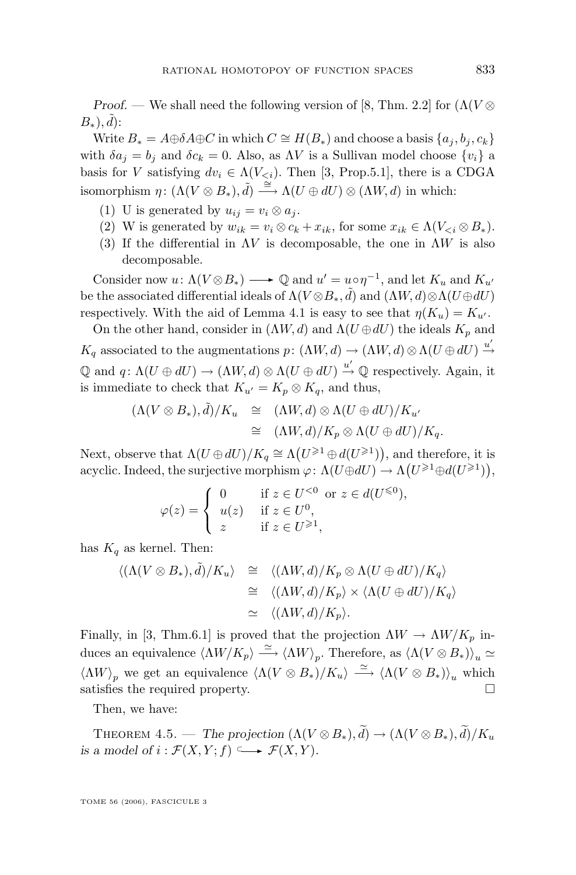<span id="page-19-0"></span>*Proof.* — We shall need the following version of [\[8,](#page-23-0) Thm. 2.2] for  $(\Lambda(V \otimes$  $B_*), \tilde{d})$ :

Write  $B_* = A \oplus \delta A \oplus C$  in which  $C \cong H(B_*)$  and choose a basis  $\{a_i, b_i, c_k\}$ with  $\delta a_i = b_i$  and  $\delta c_k = 0$ . Also, as  $\Lambda V$  is a Sullivan model choose  $\{v_i\}$  a basis for V satisfying  $dv_i \in \Lambda(V_{\leq i})$ . Then [\[3,](#page-23-0) Prop.5.1], there is a CDGA isomorphism  $\eta: (\Lambda(V\otimes B_*), d) \stackrel{\cong}{\longrightarrow} \Lambda(U \oplus dU) \otimes (\Lambda W, d)$  in which:

- (1) U is generated by  $u_{ij} = v_i \otimes a_j$ .
- (2) W is generated by  $w_{ik} = v_i \otimes c_k + x_{ik}$ , for some  $x_{ik} \in \Lambda(V_{\leq i} \otimes B_*)$ .
- (3) If the differential in  $\Lambda V$  is decomposable, the one in  $\Lambda W$  is also decomposable.

Consider now  $u: \Lambda(V \otimes B_*) \longrightarrow \mathbb{Q}$  and  $u' = u \circ \eta^{-1}$ , and let  $K_u$  and  $K_{u'}$ be the associated differential ideals of  $\Lambda(V\otimes B_*,\tilde{d})$  and  $(\Lambda W,d) \otimes \Lambda(U\oplus dU)$ respectively. With the aid of Lemma [4.1](#page-17-0) is easy to see that  $\eta(K_u) = K_{u'}$ .

On the other hand, consider in  $(\Lambda W, d)$  and  $\Lambda (U \oplus dU)$  the ideals  $K_p$  and  $K_q$  associated to the augmentations  $p: (\Lambda W, d) \to (\Lambda W, d) \otimes \Lambda (U \oplus dU) \stackrel{u'}{\to}$  $\mathbb Q$  and  $q: \Lambda(U \oplus dU) \to (\Lambda W, d) \otimes \Lambda(U \oplus dU) \stackrel{u'}{\to} \mathbb Q$  respectively. Again, it is immediate to check that  $K_{u'} = K_p \otimes K_q$ , and thus,

$$
(\Lambda(V\otimes B_*),\tilde{d})/K_u \cong (\Lambda W,d)\otimes \Lambda(U\oplus dU)/K_{u'}
$$
  

$$
\cong (\Lambda W,d)/K_p\otimes \Lambda(U\oplus dU)/K_q.
$$

Next, observe that  $\Lambda(U \oplus dU)/K_q \cong \Lambda(U^{\geq 1} \oplus d(U^{\geq 1}))$ , and therefore, it is acyclic. Indeed, the surjective morphism  $\varphi \colon \Lambda(U \oplus dU) \to \Lambda(U^{\geqslant 1} \oplus d(U^{\geqslant 1})),$ 

$$
\varphi(z) = \begin{cases} 0 & \text{if } z \in U^{<0} \text{ or } z \in d(U^{\leq 0}), \\ u(z) & \text{if } z \in U^0, \\ z & \text{if } z \in U^{\geq 1}, \end{cases}
$$

has  $K_q$  as kernel. Then:

$$
\langle (\Lambda(V \otimes B_*), \tilde{d})/K_u \rangle \cong \langle (\Lambda W, d)/K_p \otimes \Lambda(U \oplus dU)/K_q \rangle
$$
  
\n
$$
\cong \langle (\Lambda W, d)/K_p \rangle \times \langle \Lambda(U \oplus dU)/K_q \rangle
$$
  
\n
$$
\cong \langle (\Lambda W, d)/K_p \rangle.
$$

Finally, in [\[3,](#page-23-0) Thm.6.1] is proved that the projection  $\Lambda W \to \Lambda W/K_p$  induces an equivalence  $\langle \Lambda W/K_p \rangle \stackrel{\simeq}{\longrightarrow} \langle \Lambda W \rangle_p$ . Therefore, as  $\langle \Lambda (V \otimes B_*) \rangle_u \simeq$  $\langle \Lambda W \rangle_p$  we get an equivalence  $\langle \Lambda (V \otimes B_*)/K_u \rangle \stackrel{\simeq}{\longrightarrow} \langle \Lambda (V \otimes B_*) \rangle_u$  which satisfies the required property.

Then, we have:

THEOREM 4.5. — *The projection*  $(\Lambda(V \otimes B_*)$ ,  $\widetilde{d}) \rightarrow (\Lambda(V \otimes B_*)$ ,  $\widetilde{d})/K_u$ *is a model of i* :  $\mathcal{F}(X, Y; f) \longrightarrow \mathcal{F}(X, Y)$ .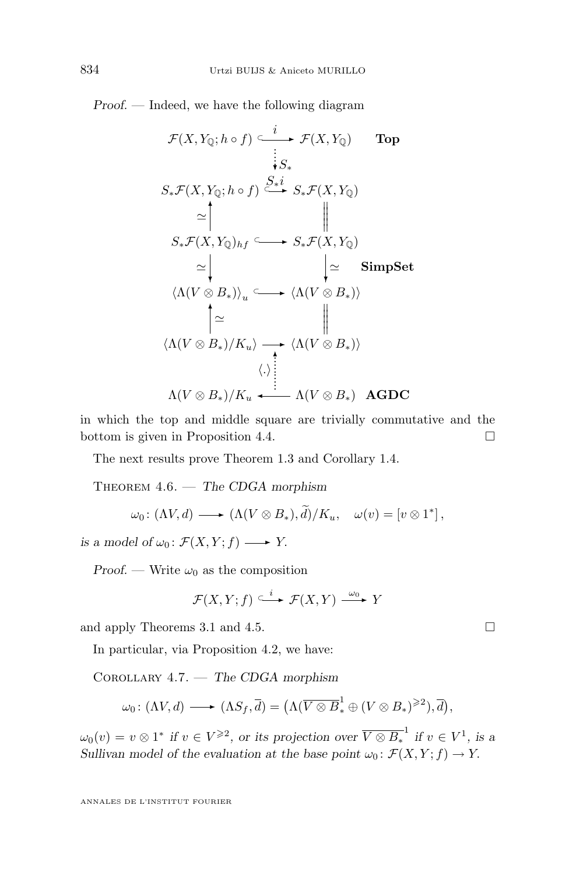<span id="page-20-0"></span>*Proof. —* Indeed, we have the following diagram

F(X, YQ; h ◦ f) ⊂ <sup>i</sup> ✲ <sup>F</sup>(X, YQ) Top S∗F(X, YQ; h ◦ f) ⊂ S∗✲i ❄S<sup>∗</sup> . . . . . . S∗F(X, YQ) S∗F(X, YQ)hf ' ✻ <sup>⊂</sup> ✲ <sup>S</sup>∗F(X, YQ) wwwww SimpSet hΛ(V ⊗ B∗)i<sup>u</sup> '❄ <sup>⊂</sup> ✲ <sup>h</sup>Λ(<sup>V</sup> <sup>⊗</sup> <sup>B</sup>∗)<sup>i</sup> '❄ hΛ(V ⊗ B∗)/Kui ✻'✲ <sup>h</sup>Λ(<sup>V</sup> <sup>⊗</sup> <sup>B</sup>∗)<sup>i</sup> wwwww Λ(<sup>V</sup> <sup>⊗</sup> <sup>B</sup>∗)/K<sup>u</sup> ✛ h.i ✻ . . . . . . . . . . . Λ(V ⊗ B∗) AGDC

in which the top and middle square are trivially commutative and the bottom is given in Proposition [4.4.](#page-18-0)

The next results prove Theorem [1.3](#page-3-0) and Corollary [1.4.](#page-4-0)

Theorem 4.6. — *The CDGA morphism*

$$
\omega_0\colon (\Lambda V, d) \longrightarrow (\Lambda (V \otimes B_*), \widetilde{d})/K_u, \quad \omega(v) = [v \otimes 1^*],
$$

*is a model of*  $\omega_0$ :  $\mathcal{F}(X, Y; f) \longrightarrow Y$ .

*Proof.* — Write  $\omega_0$  as the composition

$$
\mathcal{F}(X,Y;f) \xrightarrow{\iota} \mathcal{F}(X,Y) \xrightarrow{\omega_0} Y
$$

and apply Theorems [3.1](#page-7-0) and [4.5.](#page-19-0)

In particular, via Proposition [4.2,](#page-17-0) we have:

Corollary 4.7. — *The CDGA morphism*

$$
\omega_0\colon (\Lambda V, d) \longrightarrow (\Lambda S_f, \overline{d}) = (\Lambda(\overline{V \otimes B}_*^1 \oplus (V \otimes B_*)^{\geq 2}), \overline{d}),
$$

 $\omega_0(v) = v \otimes 1^*$  if  $v \in V^{\geqslant 2}$ , or its projection over  $\overline{V \otimes B_*}^{-1}$  if  $v \in V^1$ , is a *Sullivan model of the evaluation at the base point*  $\omega_0$ :  $\mathcal{F}(X, Y; f) \rightarrow Y$ .

$$
\Box
$$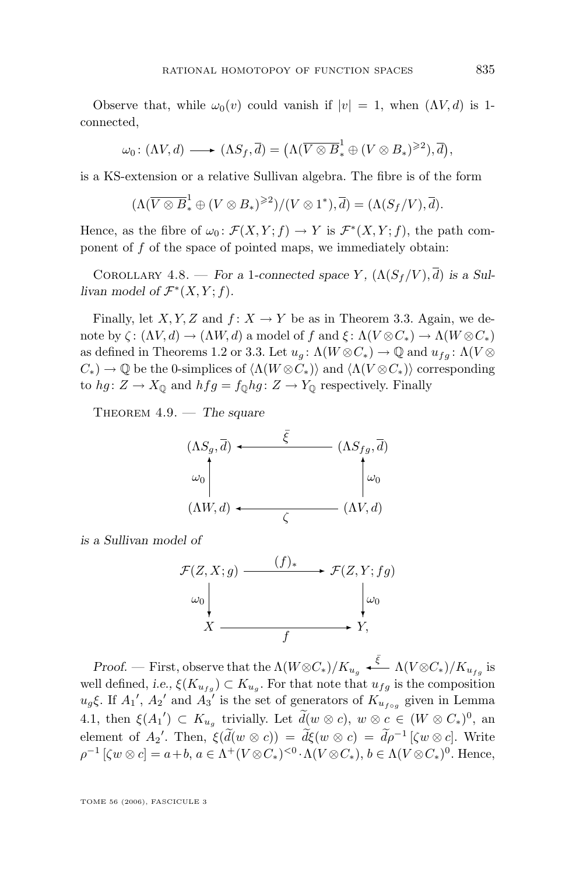<span id="page-21-0"></span>Observe that, while  $\omega_0(v)$  could vanish if  $|v| = 1$ , when  $(\Lambda V, d)$  is 1connected,

$$
\omega_0\colon (\Lambda V, d) \longrightarrow (\Lambda S_f, \overline{d}) = (\Lambda (\overline{V \otimes B}_*^1 \oplus (V \otimes B_*)^{\geq 2}), \overline{d}),
$$

is a KS-extension or a relative Sullivan algebra. The fibre is of the form

$$
(\Lambda(\overline{V\otimes B}^1_*\oplus (V\otimes B_*)^{\geqslant 2})/(V\otimes 1^*),\overline{d})=(\Lambda(S_f/V),\overline{d}).
$$

Hence, as the fibre of  $\omega_0 \,:\, \mathcal{F}(X, Y; f) \to Y$  is  $\mathcal{F}^*(X, Y; f)$ , the path component of  $f$  of the space of pointed maps, we immediately obtain:

COROLLARY 4.8. — *For a* 1-connected space Y,  $(\Lambda(S_f/V), \overline{d})$  is a Sullivan model of  $\mathcal{F}^*(X, Y; f)$ .

Finally, let X, Y, Z and  $f: X \to Y$  be as in Theorem [3.3.](#page-11-0) Again, we denote by  $\zeta: (\Lambda V, d) \to (\Lambda W, d)$  a model of f and  $\xi: \Lambda (V \otimes C_*) \to \Lambda (W \otimes C_*)$ as defined in Theorems [1.2](#page-3-0) or [3.3.](#page-11-0) Let  $u_g: \Lambda(W \otimes C_*) \to \mathbb{Q}$  and  $u_{fg}: \Lambda(V \otimes C_*)$  $C_*$ )  $\rightarrow$  Q be the 0-simplices of  $\langle \Lambda(W \otimes C_*) \rangle$  and  $\langle \Lambda(V \otimes C_*) \rangle$  corresponding to hg:  $Z \to X_{\mathbb{Q}}$  and  $hfg = f_{\mathbb{Q}}hg: Z \to Y_{\mathbb{Q}}$  respectively. Finally

Theorem 4.9. — *The square*

$$
(\Lambda S_g, \overline{d}) \leftarrow \overline{\xi} \qquad (\Lambda S_{fg}, \overline{d})
$$
  
\n
$$
\omega_0 \qquad \qquad \downarrow \omega_0
$$
  
\n
$$
(\Lambda W, d) \leftarrow \qquad \qquad (\Lambda V, d)
$$

*is a Sullivan model of*



*Proof.* — First, observe that the  $\Lambda(W \otimes C_*)/K_{u_g} \xleftarrow{\bar{\xi}} \Lambda(V \otimes C_*)/K_{u_{fg}}$  is well defined, *i.e.*,  $\xi(K_{u_{fg}}) \subset K_{u_g}$ . For that note that  $u_{fg}$  is the composition  $u_g \xi$ . If  $A_1'$ ,  $A_2'$  and  $A_3'$  is the set of generators of  $K_{u_{f \circ g}}$  given in Lemma [4.1,](#page-17-0) then  $\xi(A_1') \subset K_{u_g}$  trivially. Let  $\tilde{d}(w \otimes c)$ ,  $w \otimes c \in (W \otimes C_*)^0$ , an element of  $A_2'$ . Then,  $\xi(\tilde{d}(w \otimes c)) = \tilde{d}\xi(w \otimes c) = \tilde{d}\rho^{-1}[\zeta w \otimes c]$ . Write  $\rho^{-1} [\zeta w \otimes c] = a+b, a \in \Lambda^+(V \otimes C_*)^{< 0} \cdot \Lambda(V \otimes C_*), b \in \Lambda(V \otimes C_*)^0$ . Hence,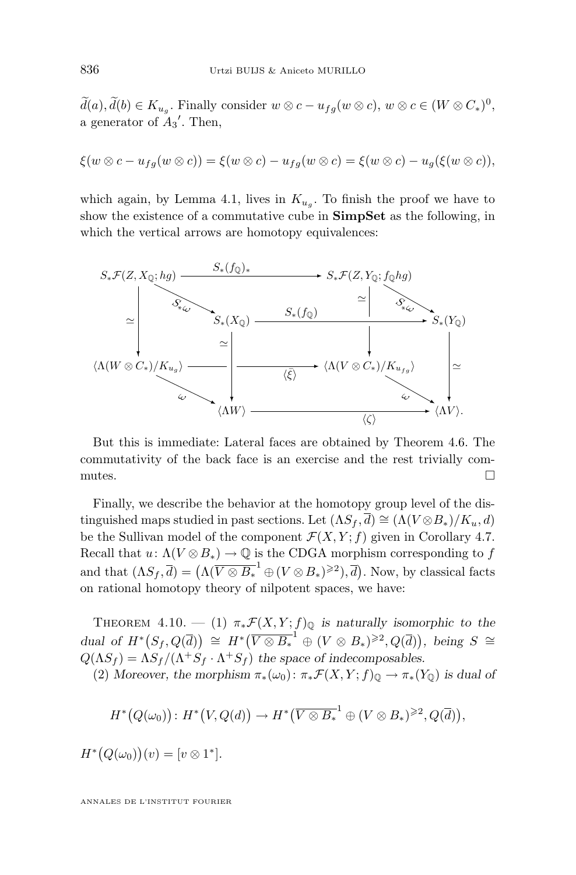$d(a), d(b) \in K_{u_g}$ . Finally consider  $w \otimes c - u_{fg}(w \otimes c)$ ,  $w \otimes c \in (W \otimes C_*)^0$ , a generator of  $A_3'$ . Then,

$$
\xi(w\otimes c - u_{fg}(w\otimes c)) = \xi(w\otimes c) - u_{fg}(w\otimes c) = \xi(w\otimes c) - u_g(\xi(w\otimes c)),
$$

which again, by Lemma [4.1,](#page-17-0) lives in  $K_{u_g}$ . To finish the proof we have to show the existence of a commutative cube in **SimpSet** as the following, in which the vertical arrows are homotopy equivalences:



But this is immediate: Lateral faces are obtained by Theorem [4.6.](#page-20-0) The commutativity of the back face is an exercise and the rest trivially commutes.  $\Box$ 

Finally, we describe the behavior at the homotopy group level of the distinguished maps studied in past sections. Let  $(\Lambda S_f, \overline{d}) \cong (\Lambda (V \otimes B_*)/K_u, d)$ be the Sullivan model of the component  $\mathcal{F}(X, Y; f)$  given in Corollary [4.7.](#page-20-0) Recall that  $u: \Lambda(V \otimes B_*) \to \mathbb{Q}$  is the CDGA morphism corresponding to f and that  $(\Lambda S_f, \overline{d}) = (\Lambda(\overline{V \otimes B_*}^1 \oplus (V \otimes B_*)^{\geq 2}), \overline{d})$ . Now, by classical facts on rational homotopy theory of nilpotent spaces, we have:

THEOREM 4.10. — (1)  $\pi_* \mathcal{F}(X, Y; f)_{\mathbb{Q}}$  *is naturally isomorphic to the*  $dual$  of  $H^*(S_f, Q(\overline{d})) \cong H^*(\overline{V \otimes B_*}^1 \oplus (V \otimes B_*)^{\geq 2}, Q(\overline{d})),$  being  $S \cong$  $Q(\Lambda S_f) = \Lambda S_f / (\Lambda^+ S_f \cdot \Lambda^+ S_f)$  the space of indecomposables.

(2) *Moreover, the morphism*  $\pi_*(\omega_0)$ :  $\pi_*\mathcal{F}(X, Y; f)$ <sub>0</sub>  $\to \pi_*(Y_0)$  *is dual of* 

$$
H^*\big(Q(\omega_0)\big): H^*\big(V, Q(d)\big) \to H^*\big(\overline{V\otimes B_*}^1\oplus (V\otimes B_*)^{\geqslant 2}, Q(\overline{d})\big),
$$

 $H^*\big(Q(\omega_0)\big)(v) = [v \otimes 1^*].$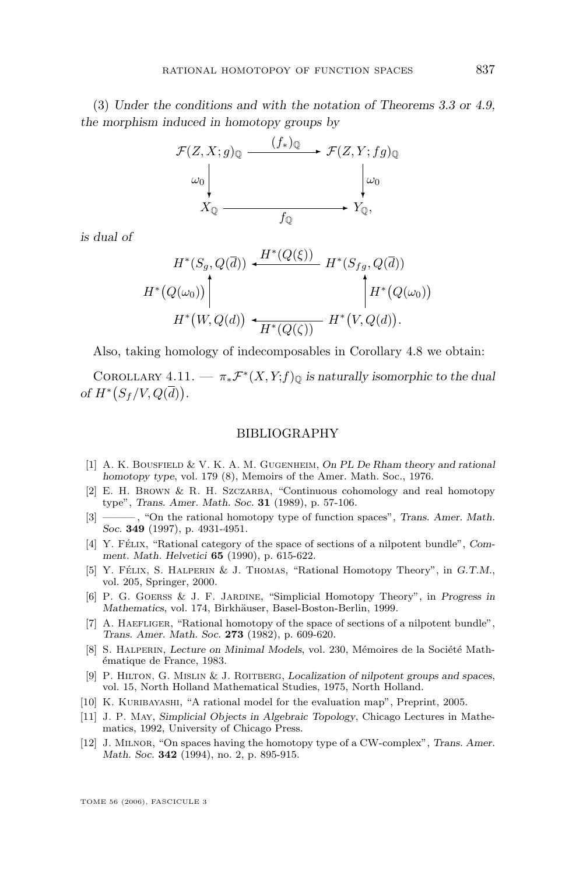<span id="page-23-0"></span>(3) *Under the conditions and with the notation of Theorems [3.3](#page-11-0) or [4.9,](#page-21-0) the morphism induced in homotopy groups by*



*is dual of*

$$
H^*(S_g, Q(\overline{d})) \leftarrow H^*(Q(\xi)) \quad H^*(S_{fg}, Q(\overline{d}))
$$
  

$$
H^*(Q(\omega_0)) \Bigg| \qquad H^*(Q(\omega_0)) \Bigg| H^*(Q(\omega_0)) \cdot H^*(W, Q(d)) \cdot H^*(W, Q(d)).
$$

Also, taking homology of indecomposables in Corollary [4.8](#page-21-0) we obtain:

COROLLARY  $4.11. - \pi_* \mathcal{F}^*(X,Y;f)_{\mathbb{Q}}$  *is naturally isomorphic to the dual of*  $H^*(S_f/V, Q(\overline{d}))$ .

#### BIBLIOGRAPHY

- [1] A. K. Bousfield & V. K. A. M. Gugenheim, *On PL De Rham theory and rational homotopy type*, vol. 179 (8), Memoirs of the Amer. Math. Soc., 1976.
- [2] E. H. BROWN & R. H. SZCZARBA, "Continuous cohomology and real homotopy type", *Trans. Amer. Math. Soc.* **31** (1989), p. 57-106.
- [3] ——— , "On the rational homotopy type of function spaces", *Trans. Amer. Math. Soc.* **349** (1997), p. 4931-4951.
- [4] Y. Félix, "Rational category of the space of sections of a nilpotent bundle", *Comment. Math. Helvetici* **65** (1990), p. 615-622.
- [5] Y. Félix, S. Halperin & J. Thomas, "Rational Homotopy Theory", in *G.T.M.*, vol. 205, Springer, 2000.
- [6] P. G. Goerss & J. F. Jardine, "Simplicial Homotopy Theory", in *Progress in Mathematics*, vol. 174, Birkhäuser, Basel-Boston-Berlin, 1999.
- [7] A. HAEFLIGER, "Rational homotopy of the space of sections of a nilpotent bundle", *Trans. Amer. Math. Soc.* **273** (1982), p. 609-620.
- [8] S. Halperin, *Lecture on Minimal Models*, vol. 230, Mémoires de la Société Mathématique de France, 1983.
- [9] P. Hilton, G. Mislin & J. Roitberg, *Localization of nilpotent groups and spaces*, vol. 15, North Holland Mathematical Studies, 1975, North Holland.
- [10] K. KURIBAYASHI, "A rational model for the evaluation map", Preprint, 2005.
- [11] J. P. May, *Simplicial Objects in Algebraic Topology*, Chicago Lectures in Mathematics, 1992, University of Chicago Press.
- [12] J. Milnor, "On spaces having the homotopy type of a CW-complex", *Trans. Amer. Math. Soc.* **342** (1994), no. 2, p. 895-915.